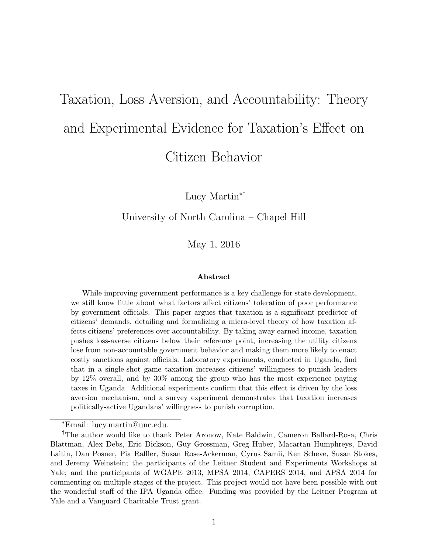# Taxation, Loss Aversion, and Accountability: Theory and Experimental Evidence for Taxation's Effect on Citizen Behavior

Lucy Martin∗†

#### University of North Carolina – Chapel Hill

May 1, 2016

#### Abstract

While improving government performance is a key challenge for state development, we still know little about what factors affect citizens' toleration of poor performance by government officials. This paper argues that taxation is a significant predictor of citizens' demands, detailing and formalizing a micro-level theory of how taxation affects citizens' preferences over accountability. By taking away earned income, taxation pushes loss-averse citizens below their reference point, increasing the utility citizens lose from non-accountable government behavior and making them more likely to enact costly sanctions against officials. Laboratory experiments, conducted in Uganda, find that in a single-shot game taxation increases citizens' willingness to punish leaders by 12% overall, and by 30% among the group who has the most experience paying taxes in Uganda. Additional experiments confirm that this effect is driven by the loss aversion mechanism, and a survey experiment demonstrates that taxation increases politically-active Ugandans' willingness to punish corruption.

<sup>∗</sup>Email: lucy.martin@unc.edu.

<sup>†</sup>The author would like to thank Peter Aronow, Kate Baldwin, Cameron Ballard-Rosa, Chris Blattman, Alex Debs, Eric Dickson, Guy Grossman, Greg Huber, Macartan Humphreys, David Laitin, Dan Posner, Pia Raffler, Susan Rose-Ackerman, Cyrus Samii, Ken Scheve, Susan Stokes, and Jeremy Weinstein; the participants of the Leitner Student and Experiments Workshops at Yale; and the participants of WGAPE 2013, MPSA 2014, CAPERS 2014, and APSA 2014 for commenting on multiple stages of the project. This project would not have been possible with out the wonderful staff of the IPA Uganda office. Funding was provided by the Leitner Program at Yale and a Vanguard Charitable Trust grant.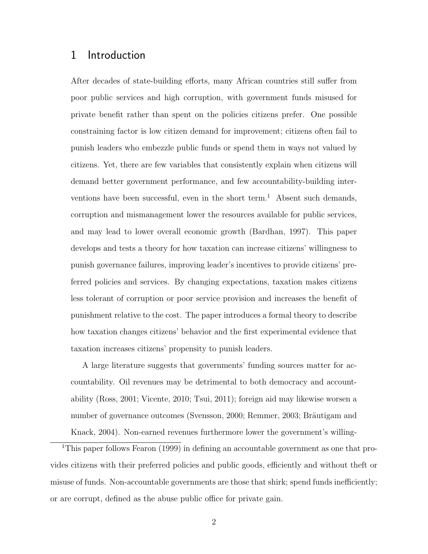## 1 Introduction

After decades of state-building efforts, many African countries still suffer from poor public services and high corruption, with government funds misused for private benefit rather than spent on the policies citizens prefer. One possible constraining factor is low citizen demand for improvement; citizens often fail to punish leaders who embezzle public funds or spend them in ways not valued by citizens. Yet, there are few variables that consistently explain when citizens will demand better government performance, and few accountability-building interventions have been successful, even in the short term.<sup>1</sup> Absent such demands, corruption and mismanagement lower the resources available for public services, and may lead to lower overall economic growth (Bardhan, 1997). This paper develops and tests a theory for how taxation can increase citizens' willingness to punish governance failures, improving leader's incentives to provide citizens' preferred policies and services. By changing expectations, taxation makes citizens less tolerant of corruption or poor service provision and increases the benefit of punishment relative to the cost. The paper introduces a formal theory to describe how taxation changes citizens' behavior and the first experimental evidence that taxation increases citizens' propensity to punish leaders.

A large literature suggests that governments' funding sources matter for accountability. Oil revenues may be detrimental to both democracy and accountability (Ross, 2001; Vicente, 2010; Tsui, 2011); foreign aid may likewise worsen a number of governance outcomes (Svensson, 2000; Remmer, 2003; Bräutigam and Knack, 2004). Non-earned revenues furthermore lower the government's willing-

<sup>1</sup>This paper follows Fearon (1999) in defining an accountable government as one that provides citizens with their preferred policies and public goods, efficiently and without theft or misuse of funds. Non-accountable governments are those that shirk; spend funds inefficiently; or are corrupt, defined as the abuse public office for private gain.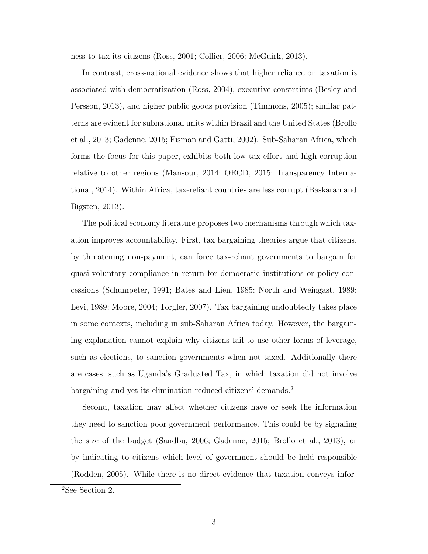ness to tax its citizens (Ross, 2001; Collier, 2006; McGuirk, 2013).

In contrast, cross-national evidence shows that higher reliance on taxation is associated with democratization (Ross, 2004), executive constraints (Besley and Persson, 2013), and higher public goods provision (Timmons, 2005); similar patterns are evident for subnational units within Brazil and the United States (Brollo et al., 2013; Gadenne, 2015; Fisman and Gatti, 2002). Sub-Saharan Africa, which forms the focus for this paper, exhibits both low tax effort and high corruption relative to other regions (Mansour, 2014; OECD, 2015; Transparency International, 2014). Within Africa, tax-reliant countries are less corrupt (Baskaran and Bigsten, 2013).

The political economy literature proposes two mechanisms through which taxation improves accountability. First, tax bargaining theories argue that citizens, by threatening non-payment, can force tax-reliant governments to bargain for quasi-voluntary compliance in return for democratic institutions or policy concessions (Schumpeter, 1991; Bates and Lien, 1985; North and Weingast, 1989; Levi, 1989; Moore, 2004; Torgler, 2007). Tax bargaining undoubtedly takes place in some contexts, including in sub-Saharan Africa today. However, the bargaining explanation cannot explain why citizens fail to use other forms of leverage, such as elections, to sanction governments when not taxed. Additionally there are cases, such as Uganda's Graduated Tax, in which taxation did not involve bargaining and yet its elimination reduced citizens' demands.<sup>2</sup>

Second, taxation may affect whether citizens have or seek the information they need to sanction poor government performance. This could be by signaling the size of the budget (Sandbu, 2006; Gadenne, 2015; Brollo et al., 2013), or by indicating to citizens which level of government should be held responsible (Rodden, 2005). While there is no direct evidence that taxation conveys infor-

<sup>2</sup>See Section 2.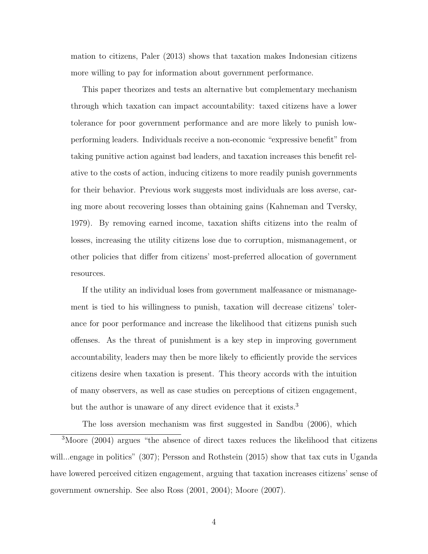mation to citizens, Paler (2013) shows that taxation makes Indonesian citizens more willing to pay for information about government performance.

This paper theorizes and tests an alternative but complementary mechanism through which taxation can impact accountability: taxed citizens have a lower tolerance for poor government performance and are more likely to punish lowperforming leaders. Individuals receive a non-economic "expressive benefit" from taking punitive action against bad leaders, and taxation increases this benefit relative to the costs of action, inducing citizens to more readily punish governments for their behavior. Previous work suggests most individuals are loss averse, caring more about recovering losses than obtaining gains (Kahneman and Tversky, 1979). By removing earned income, taxation shifts citizens into the realm of losses, increasing the utility citizens lose due to corruption, mismanagement, or other policies that differ from citizens' most-preferred allocation of government resources.

If the utility an individual loses from government malfeasance or mismanagement is tied to his willingness to punish, taxation will decrease citizens' tolerance for poor performance and increase the likelihood that citizens punish such offenses. As the threat of punishment is a key step in improving government accountability, leaders may then be more likely to efficiently provide the services citizens desire when taxation is present. This theory accords with the intuition of many observers, as well as case studies on perceptions of citizen engagement, but the author is unaware of any direct evidence that it exists.<sup>3</sup>

The loss aversion mechanism was first suggested in Sandbu (2006), which

<sup>3</sup>Moore (2004) argues "the absence of direct taxes reduces the likelihood that citizens will...engage in politics" (307); Persson and Rothstein (2015) show that tax cuts in Uganda have lowered perceived citizen engagement, arguing that taxation increases citizens' sense of government ownership. See also Ross (2001, 2004); Moore (2007).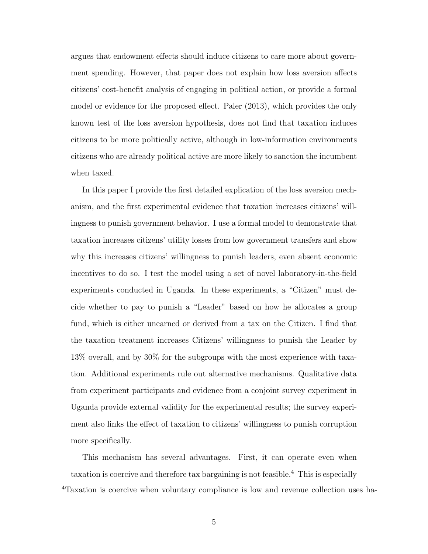argues that endowment effects should induce citizens to care more about government spending. However, that paper does not explain how loss aversion affects citizens' cost-benefit analysis of engaging in political action, or provide a formal model or evidence for the proposed effect. Paler (2013), which provides the only known test of the loss aversion hypothesis, does not find that taxation induces citizens to be more politically active, although in low-information environments citizens who are already political active are more likely to sanction the incumbent when taxed.

In this paper I provide the first detailed explication of the loss aversion mechanism, and the first experimental evidence that taxation increases citizens' willingness to punish government behavior. I use a formal model to demonstrate that taxation increases citizens' utility losses from low government transfers and show why this increases citizens' willingness to punish leaders, even absent economic incentives to do so. I test the model using a set of novel laboratory-in-the-field experiments conducted in Uganda. In these experiments, a "Citizen" must decide whether to pay to punish a "Leader" based on how he allocates a group fund, which is either unearned or derived from a tax on the Citizen. I find that the taxation treatment increases Citizens' willingness to punish the Leader by 13% overall, and by 30% for the subgroups with the most experience with taxation. Additional experiments rule out alternative mechanisms. Qualitative data from experiment participants and evidence from a conjoint survey experiment in Uganda provide external validity for the experimental results; the survey experiment also links the effect of taxation to citizens' willingness to punish corruption more specifically.

This mechanism has several advantages. First, it can operate even when taxation is coercive and therefore tax bargaining is not feasible.<sup>4</sup> This is especially

<sup>4</sup>Taxation is coercive when voluntary compliance is low and revenue collection uses ha-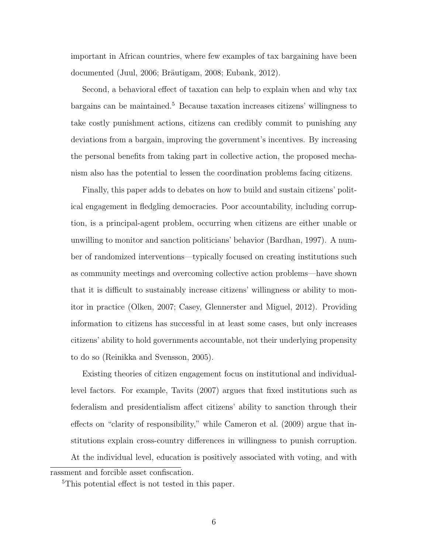important in African countries, where few examples of tax bargaining have been documented (Juul, 2006; Bräutigam, 2008; Eubank, 2012).

Second, a behavioral effect of taxation can help to explain when and why tax bargains can be maintained.<sup>5</sup> Because taxation increases citizens' willingness to take costly punishment actions, citizens can credibly commit to punishing any deviations from a bargain, improving the government's incentives. By increasing the personal benefits from taking part in collective action, the proposed mechanism also has the potential to lessen the coordination problems facing citizens.

Finally, this paper adds to debates on how to build and sustain citizens' political engagement in fledgling democracies. Poor accountability, including corruption, is a principal-agent problem, occurring when citizens are either unable or unwilling to monitor and sanction politicians' behavior (Bardhan, 1997). A number of randomized interventions—typically focused on creating institutions such as community meetings and overcoming collective action problems—have shown that it is difficult to sustainably increase citizens' willingness or ability to monitor in practice (Olken, 2007; Casey, Glennerster and Miguel, 2012). Providing information to citizens has successful in at least some cases, but only increases citizens' ability to hold governments accountable, not their underlying propensity to do so (Reinikka and Svensson, 2005).

Existing theories of citizen engagement focus on institutional and individuallevel factors. For example, Tavits (2007) argues that fixed institutions such as federalism and presidentialism affect citizens' ability to sanction through their effects on "clarity of responsibility," while Cameron et al. (2009) argue that institutions explain cross-country differences in willingness to punish corruption. At the individual level, education is positively associated with voting, and with

rassment and forcible asset confiscation.

<sup>&</sup>lt;sup>5</sup>This potential effect is not tested in this paper.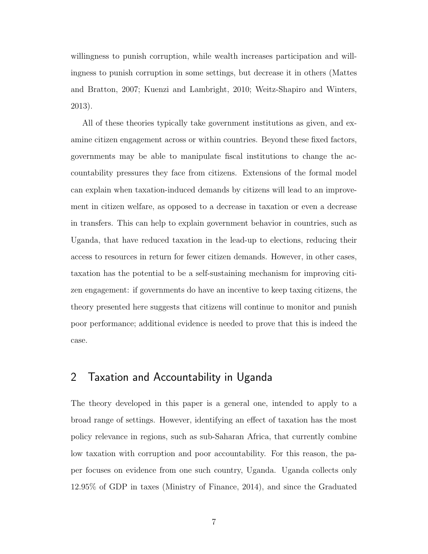willingness to punish corruption, while wealth increases participation and willingness to punish corruption in some settings, but decrease it in others (Mattes and Bratton, 2007; Kuenzi and Lambright, 2010; Weitz-Shapiro and Winters, 2013).

All of these theories typically take government institutions as given, and examine citizen engagement across or within countries. Beyond these fixed factors, governments may be able to manipulate fiscal institutions to change the accountability pressures they face from citizens. Extensions of the formal model can explain when taxation-induced demands by citizens will lead to an improvement in citizen welfare, as opposed to a decrease in taxation or even a decrease in transfers. This can help to explain government behavior in countries, such as Uganda, that have reduced taxation in the lead-up to elections, reducing their access to resources in return for fewer citizen demands. However, in other cases, taxation has the potential to be a self-sustaining mechanism for improving citizen engagement: if governments do have an incentive to keep taxing citizens, the theory presented here suggests that citizens will continue to monitor and punish poor performance; additional evidence is needed to prove that this is indeed the case.

## 2 Taxation and Accountability in Uganda

The theory developed in this paper is a general one, intended to apply to a broad range of settings. However, identifying an effect of taxation has the most policy relevance in regions, such as sub-Saharan Africa, that currently combine low taxation with corruption and poor accountability. For this reason, the paper focuses on evidence from one such country, Uganda. Uganda collects only 12.95% of GDP in taxes (Ministry of Finance, 2014), and since the Graduated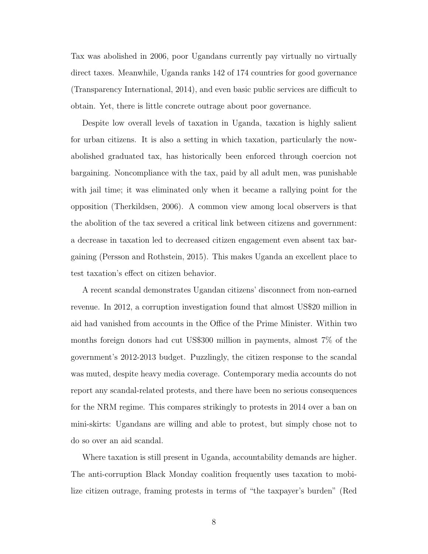Tax was abolished in 2006, poor Ugandans currently pay virtually no virtually direct taxes. Meanwhile, Uganda ranks 142 of 174 countries for good governance (Transparency International, 2014), and even basic public services are difficult to obtain. Yet, there is little concrete outrage about poor governance.

Despite low overall levels of taxation in Uganda, taxation is highly salient for urban citizens. It is also a setting in which taxation, particularly the nowabolished graduated tax, has historically been enforced through coercion not bargaining. Noncompliance with the tax, paid by all adult men, was punishable with jail time; it was eliminated only when it became a rallying point for the opposition (Therkildsen, 2006). A common view among local observers is that the abolition of the tax severed a critical link between citizens and government: a decrease in taxation led to decreased citizen engagement even absent tax bargaining (Persson and Rothstein, 2015). This makes Uganda an excellent place to test taxation's effect on citizen behavior.

A recent scandal demonstrates Ugandan citizens' disconnect from non-earned revenue. In 2012, a corruption investigation found that almost US\$20 million in aid had vanished from accounts in the Office of the Prime Minister. Within two months foreign donors had cut US\$300 million in payments, almost 7% of the government's 2012-2013 budget. Puzzlingly, the citizen response to the scandal was muted, despite heavy media coverage. Contemporary media accounts do not report any scandal-related protests, and there have been no serious consequences for the NRM regime. This compares strikingly to protests in 2014 over a ban on mini-skirts: Ugandans are willing and able to protest, but simply chose not to do so over an aid scandal.

Where taxation is still present in Uganda, accountability demands are higher. The anti-corruption Black Monday coalition frequently uses taxation to mobilize citizen outrage, framing protests in terms of "the taxpayer's burden" (Red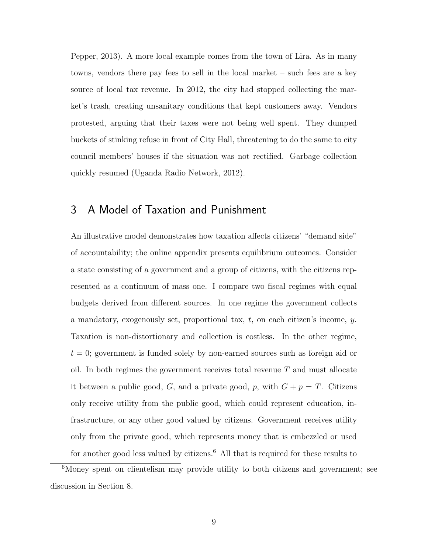Pepper, 2013). A more local example comes from the town of Lira. As in many towns, vendors there pay fees to sell in the local market – such fees are a key source of local tax revenue. In 2012, the city had stopped collecting the market's trash, creating unsanitary conditions that kept customers away. Vendors protested, arguing that their taxes were not being well spent. They dumped buckets of stinking refuse in front of City Hall, threatening to do the same to city council members' houses if the situation was not rectified. Garbage collection quickly resumed (Uganda Radio Network, 2012).

## 3 A Model of Taxation and Punishment

An illustrative model demonstrates how taxation affects citizens' "demand side" of accountability; the online appendix presents equilibrium outcomes. Consider a state consisting of a government and a group of citizens, with the citizens represented as a continuum of mass one. I compare two fiscal regimes with equal budgets derived from different sources. In one regime the government collects a mandatory, exogenously set, proportional tax,  $t$ , on each citizen's income,  $y$ . Taxation is non-distortionary and collection is costless. In the other regime,  $t = 0$ ; government is funded solely by non-earned sources such as foreign aid or oil. In both regimes the government receives total revenue  $T$  and must allocate it between a public good, G, and a private good, p, with  $G + p = T$ . Citizens only receive utility from the public good, which could represent education, infrastructure, or any other good valued by citizens. Government receives utility only from the private good, which represents money that is embezzled or used for another good less valued by citizens. $6$  All that is required for these results to

<sup>&</sup>lt;sup>6</sup>Money spent on clientelism may provide utility to both citizens and government; see discussion in Section 8.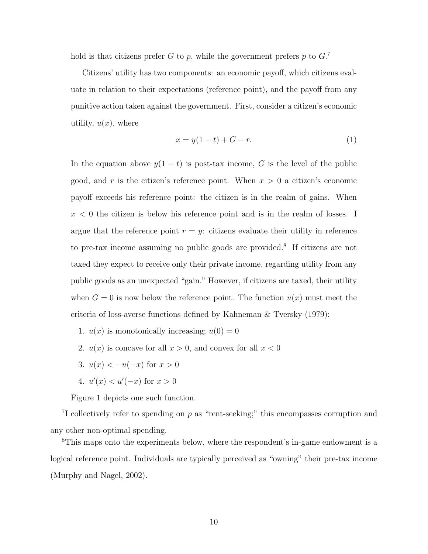hold is that citizens prefer G to p, while the government prefers p to  $G<sup>7</sup>$ 

Citizens' utility has two components: an economic payoff, which citizens evaluate in relation to their expectations (reference point), and the payoff from any punitive action taken against the government. First, consider a citizen's economic utility,  $u(x)$ , where

$$
x = y(1 - t) + G - r.
$$
 (1)

In the equation above  $y(1-t)$  is post-tax income, G is the level of the public good, and  $r$  is the citizen's reference point. When  $x > 0$  a citizen's economic payoff exceeds his reference point: the citizen is in the realm of gains. When  $x < 0$  the citizen is below his reference point and is in the realm of losses. I argue that the reference point  $r = y$ : citizens evaluate their utility in reference to pre-tax income assuming no public goods are provided.<sup>8</sup> If citizens are not taxed they expect to receive only their private income, regarding utility from any public goods as an unexpected "gain." However, if citizens are taxed, their utility when  $G = 0$  is now below the reference point. The function  $u(x)$  must meet the criteria of loss-averse functions defined by Kahneman & Tversky (1979):

- 1.  $u(x)$  is monotonically increasing;  $u(0) = 0$
- 2.  $u(x)$  is concave for all  $x > 0$ , and convex for all  $x < 0$
- 3.  $u(x) < -u(-x)$  for  $x > 0$
- 4.  $u'(x) < u'(-x)$  for  $x > 0$

Figure 1 depicts one such function.

<sup>7</sup>I collectively refer to spending on  $p$  as "rent-seeking;" this encompasses corruption and any other non-optimal spending.

<sup>8</sup>This maps onto the experiments below, where the respondent's in-game endowment is a logical reference point. Individuals are typically perceived as "owning" their pre-tax income (Murphy and Nagel, 2002).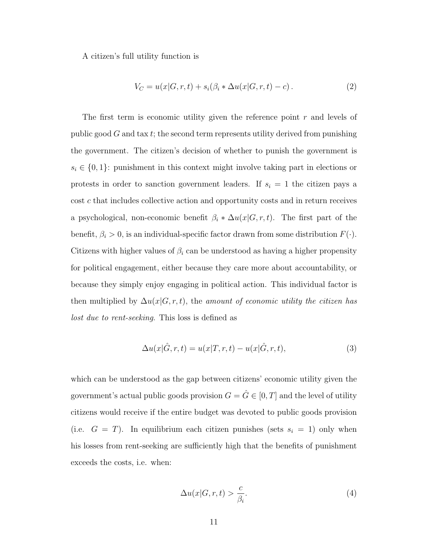A citizen's full utility function is

$$
V_C = u(x|G, r, t) + s_i(\beta_i * \Delta u(x|G, r, t) - c).
$$
 (2)

The first term is economic utility given the reference point  $r$  and levels of public good  $G$  and tax t; the second term represents utility derived from punishing the government. The citizen's decision of whether to punish the government is  $s_i \in \{0, 1\}$ : punishment in this context might involve taking part in elections or protests in order to sanction government leaders. If  $s_i = 1$  the citizen pays a cost c that includes collective action and opportunity costs and in return receives a psychological, non-economic benefit  $\beta_i * \Delta u(x|G, r, t)$ . The first part of the benefit,  $\beta_i > 0$ , is an individual-specific factor drawn from some distribution  $F(\cdot)$ . Citizens with higher values of  $\beta_i$  can be understood as having a higher propensity for political engagement, either because they care more about accountability, or because they simply enjoy engaging in political action. This individual factor is then multiplied by  $\Delta u(x|G, r, t)$ , the amount of economic utility the citizen has lost due to rent-seeking. This loss is defined as

$$
\Delta u(x|\hat{G},r,t) = u(x|T,r,t) - u(x|\hat{G},r,t),\tag{3}
$$

which can be understood as the gap between citizens' economic utility given the government's actual public goods provision  $G = \hat{G} \in [0, T]$  and the level of utility citizens would receive if the entire budget was devoted to public goods provision (i.e.  $G = T$ ). In equilibrium each citizen punishes (sets  $s_i = 1$ ) only when his losses from rent-seeking are sufficiently high that the benefits of punishment exceeds the costs, i.e. when:

$$
\Delta u(x|G,r,t) > \frac{c}{\beta_i}.\tag{4}
$$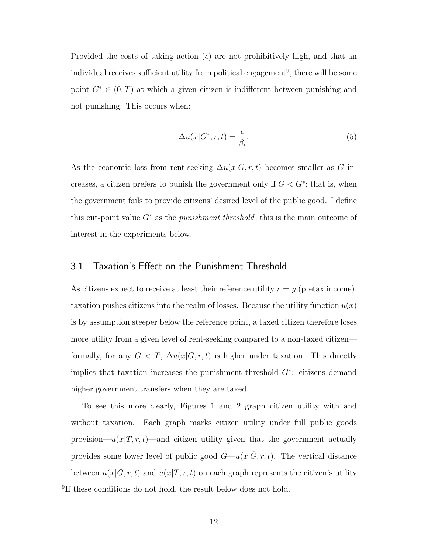Provided the costs of taking action (c) are not prohibitively high, and that an individual receives sufficient utility from political engagement<sup>9</sup>, there will be some point  $G^* \in (0,T)$  at which a given citizen is indifferent between punishing and not punishing. This occurs when:

$$
\Delta u(x|G^*, r, t) = \frac{c}{\beta_i}.\tag{5}
$$

As the economic loss from rent-seeking  $\Delta u(x|G, r, t)$  becomes smaller as G increases, a citizen prefers to punish the government only if  $G < G^*$ ; that is, when the government fails to provide citizens' desired level of the public good. I define this cut-point value  $G^*$  as the *punishment threshold*; this is the main outcome of interest in the experiments below.

#### 3.1 Taxation's Effect on the Punishment Threshold

As citizens expect to receive at least their reference utility  $r = y$  (pretax income), taxation pushes citizens into the realm of losses. Because the utility function  $u(x)$ is by assumption steeper below the reference point, a taxed citizen therefore loses more utility from a given level of rent-seeking compared to a non-taxed citizen formally, for any  $G < T$ ,  $\Delta u(x|G, r, t)$  is higher under taxation. This directly implies that taxation increases the punishment threshold G<sup>∗</sup> : citizens demand higher government transfers when they are taxed.

To see this more clearly, Figures 1 and 2 graph citizen utility with and without taxation. Each graph marks citizen utility under full public goods provision— $u(x|T, r, t)$ —and citizen utility given that the government actually provides some lower level of public good  $\hat{G}$ — $u(x|\hat{G}, r, t)$ . The vertical distance between  $u(x|\hat{G}, r, t)$  and  $u(x|T, r, t)$  on each graph represents the citizen's utility

<sup>&</sup>lt;sup>9</sup>If these conditions do not hold, the result below does not hold.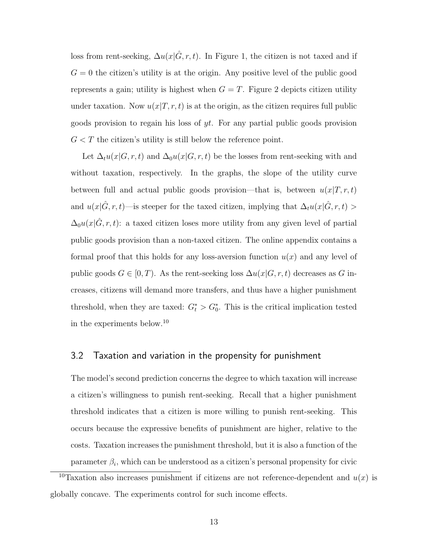loss from rent-seeking,  $\Delta u(x|\hat{G}, r, t)$ . In Figure 1, the citizen is not taxed and if  $G = 0$  the citizen's utility is at the origin. Any positive level of the public good represents a gain; utility is highest when  $G = T$ . Figure 2 depicts citizen utility under taxation. Now  $u(x|T, r, t)$  is at the origin, as the citizen requires full public goods provision to regain his loss of yt. For any partial public goods provision  $G < T$  the citizen's utility is still below the reference point.

Let  $\Delta_t u(x|G, r, t)$  and  $\Delta_0 u(x|G, r, t)$  be the losses from rent-seeking with and without taxation, respectively. In the graphs, the slope of the utility curve between full and actual public goods provision—that is, between  $u(x|T, r, t)$ and  $u(x|\hat{G}, r, t)$ —is steeper for the taxed citizen, implying that  $\Delta_t u(x|\hat{G}, r, t) >$  $\Delta_0u(x|\hat{G}, r, t)$ : a taxed citizen loses more utility from any given level of partial public goods provision than a non-taxed citizen. The online appendix contains a formal proof that this holds for any loss-aversion function  $u(x)$  and any level of public goods  $G \in [0, T)$ . As the rent-seeking loss  $\Delta u(x|G, r, t)$  decreases as G increases, citizens will demand more transfers, and thus have a higher punishment threshold, when they are taxed:  $G_t^* > G_0^*$ . This is the critical implication tested in the experiments below.<sup>10</sup>

#### 3.2 Taxation and variation in the propensity for punishment

The model's second prediction concerns the degree to which taxation will increase a citizen's willingness to punish rent-seeking. Recall that a higher punishment threshold indicates that a citizen is more willing to punish rent-seeking. This occurs because the expressive benefits of punishment are higher, relative to the costs. Taxation increases the punishment threshold, but it is also a function of the parameter  $\beta_i$ , which can be understood as a citizen's personal propensity for civic

<sup>&</sup>lt;sup>10</sup>Taxation also increases punishment if citizens are not reference-dependent and  $u(x)$  is globally concave. The experiments control for such income effects.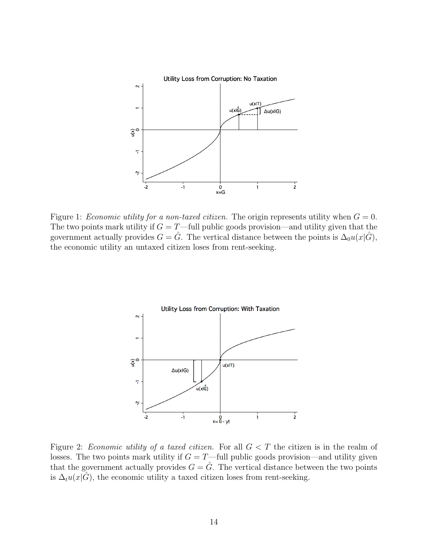

Figure 1: *Economic utility for a non-taxed citizen*. The origin represents utility when  $G = 0$ . The two points mark utility if  $G = T$ —full public goods provision—and utility given that the government actually provides  $G = \hat{G}$ . The vertical distance between the points is  $\Delta_0 u(x|\hat{G})$ , the economic utility an untaxed citizen loses from rent-seeking.



Figure 2: Economic utility of a taxed citizen. For all  $G < T$  the citizen is in the realm of losses. The two points mark utility if  $G = T$ —full public goods provision—and utility given that the government actually provides  $G = \hat{G}$ . The vertical distance between the two points is  $\Delta_t u(x|\tilde{G})$ , the economic utility a taxed citizen loses from rent-seeking.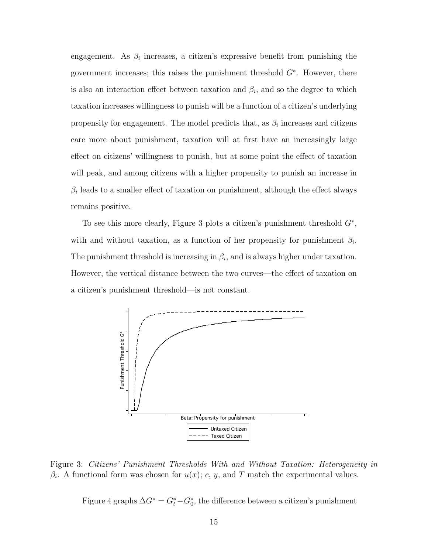engagement. As  $\beta_i$  increases, a citizen's expressive benefit from punishing the government increases; this raises the punishment threshold  $G^*$ . However, there is also an interaction effect between taxation and  $\beta_i$ , and so the degree to which taxation increases willingness to punish will be a function of a citizen's underlying propensity for engagement. The model predicts that, as  $\beta_i$  increases and citizens care more about punishment, taxation will at first have an increasingly large effect on citizens' willingness to punish, but at some point the effect of taxation will peak, and among citizens with a higher propensity to punish an increase in  $\beta_i$  leads to a smaller effect of taxation on punishment, although the effect always remains positive.

To see this more clearly, Figure 3 plots a citizen's punishment threshold  $G^*$ , with and without taxation, as a function of her propensity for punishment  $\beta_i$ . The punishment threshold is increasing in  $\beta_i$ , and is always higher under taxation. However, the vertical distance between the two curves—the effect of taxation on a citizen's punishment threshold—is not constant.



Figure 3: Citizens' Punishment Thresholds With and Without Taxation: Heterogeneity in  $\beta_i$ . A functional form was chosen for  $u(x)$ ; c, y, and T match the experimental values.

Figure 4 graphs  $\Delta G^* = G_t^* - G_0^*$ , the difference between a citizen's punishment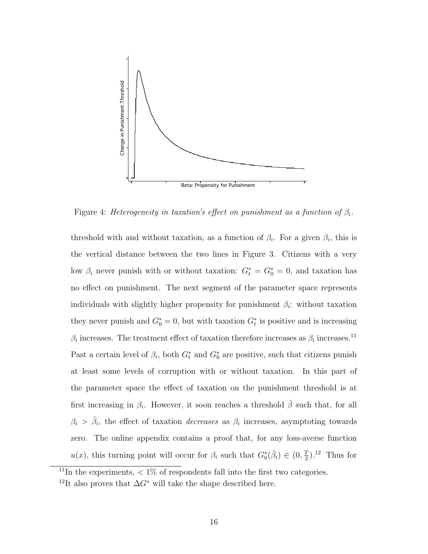

Figure 4: Heterogeneity in taxation's effect on punishment as a function of  $\beta_i$ .

threshold with and without taxation, as a function of  $\beta_i$ . For a given  $\beta_i$ , this is the vertical distance between the two lines in Figure 3. Citizens with a very low  $\beta_i$  never punish with or without taxation:  $G_t^* = G_0^* = 0$ , and taxation has no effect on punishment. The next segment of the parameter space represents individuals with slightly higher propensity for punishment  $\beta_i$ : without taxation they never punish and  $G_0^* = 0$ , but with taxation  $G_t^*$  is positive and is increasing  $\beta_i$  increases. The treatment effect of taxation therefore increases as  $\beta_i$  increases.<sup>11</sup> Past a certain level of  $\beta_i$ , both  $G_t^*$  and  $G_0^*$  are positive, such that citizens punish at least some levels of corruption with or without taxation. In this part of the parameter space the effect of taxation on the punishment threshold is at first increasing in  $\beta_i$ . However, it soon reaches a threshold  $\bar{\beta}$  such that, for all  $\beta_i > \bar{\beta}_i$ , the effect of taxation *decreases* as  $\beta_i$  increases, asymptoting towards zero. The online appendix contains a proof that, for any loss-averse function  $u(x)$ , this turning point will occur for  $\beta_i$  such that  $G_0^*(\bar{\beta}_i) \in (0, \frac{7}{2})$  $(\frac{T}{2})$ .<sup>12</sup> Thus for

<sup>&</sup>lt;sup>11</sup>In the experiments,  $\langle 1\%$  of respondents fall into the first two categories.

<sup>&</sup>lt;sup>12</sup>It also proves that  $\Delta G^*$  will take the shape described here.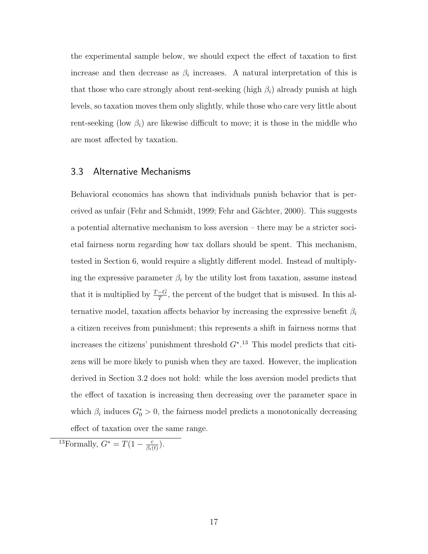the experimental sample below, we should expect the effect of taxation to first increase and then decrease as  $\beta_i$  increases. A natural interpretation of this is that those who care strongly about rent-seeking (high  $\beta_i$ ) already punish at high levels, so taxation moves them only slightly, while those who care very little about rent-seeking (low  $\beta_i$ ) are likewise difficult to move; it is those in the middle who are most affected by taxation.

#### 3.3 Alternative Mechanisms

Behavioral economics has shown that individuals punish behavior that is perceived as unfair (Fehr and Schmidt, 1999; Fehr and Gächter, 2000). This suggests a potential alternative mechanism to loss aversion – there may be a stricter societal fairness norm regarding how tax dollars should be spent. This mechanism, tested in Section 6, would require a slightly different model. Instead of multiplying the expressive parameter  $\beta_i$  by the utility lost from taxation, assume instead that it is multiplied by  $\frac{T-G}{T}$ , the percent of the budget that is misused. In this alternative model, taxation affects behavior by increasing the expressive benefit  $\beta_i$ a citizen receives from punishment; this represents a shift in fairness norms that increases the citizens' punishment threshold  $G^*$ <sup>13</sup>. This model predicts that citizens will be more likely to punish when they are taxed. However, the implication derived in Section 3.2 does not hold: while the loss aversion model predicts that the effect of taxation is increasing then decreasing over the parameter space in which  $\beta_i$  induces  $G_0^* > 0$ , the fairness model predicts a monotonically decreasing effect of taxation over the same range.

<sup>13</sup>Formally,  $G^* = T(1 - \frac{c}{\beta}$  $\frac{c}{\beta_i(t)}$ ).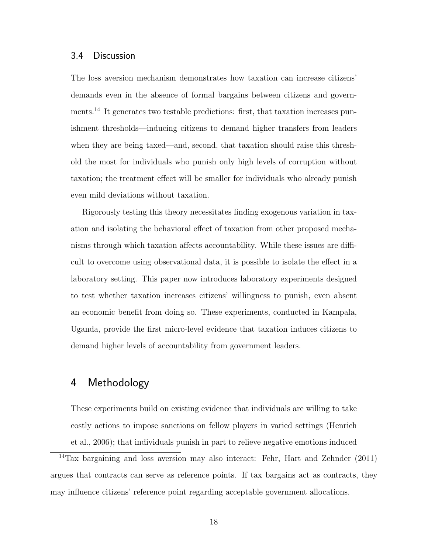#### 3.4 Discussion

The loss aversion mechanism demonstrates how taxation can increase citizens' demands even in the absence of formal bargains between citizens and governments.<sup>14</sup> It generates two testable predictions: first, that taxation increases punishment thresholds—inducing citizens to demand higher transfers from leaders when they are being taxed—and, second, that taxation should raise this threshold the most for individuals who punish only high levels of corruption without taxation; the treatment effect will be smaller for individuals who already punish even mild deviations without taxation.

Rigorously testing this theory necessitates finding exogenous variation in taxation and isolating the behavioral effect of taxation from other proposed mechanisms through which taxation affects accountability. While these issues are difficult to overcome using observational data, it is possible to isolate the effect in a laboratory setting. This paper now introduces laboratory experiments designed to test whether taxation increases citizens' willingness to punish, even absent an economic benefit from doing so. These experiments, conducted in Kampala, Uganda, provide the first micro-level evidence that taxation induces citizens to demand higher levels of accountability from government leaders.

## 4 Methodology

These experiments build on existing evidence that individuals are willing to take costly actions to impose sanctions on fellow players in varied settings (Henrich et al., 2006); that individuals punish in part to relieve negative emotions induced

<sup>14</sup>Tax bargaining and loss aversion may also interact: Fehr, Hart and Zehnder (2011) argues that contracts can serve as reference points. If tax bargains act as contracts, they may influence citizens' reference point regarding acceptable government allocations.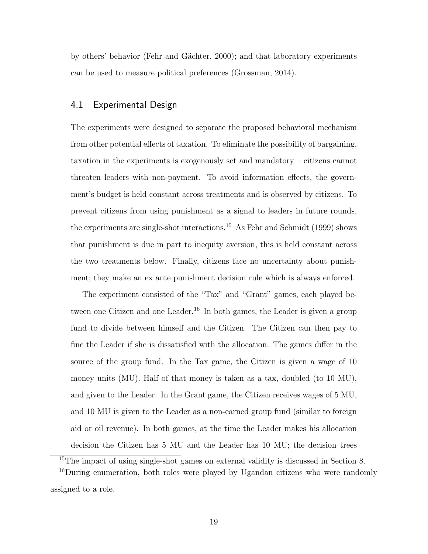by others' behavior (Fehr and G¨achter, 2000); and that laboratory experiments can be used to measure political preferences (Grossman, 2014).

#### 4.1 Experimental Design

The experiments were designed to separate the proposed behavioral mechanism from other potential effects of taxation. To eliminate the possibility of bargaining, taxation in the experiments is exogenously set and mandatory – citizens cannot threaten leaders with non-payment. To avoid information effects, the government's budget is held constant across treatments and is observed by citizens. To prevent citizens from using punishment as a signal to leaders in future rounds, the experiments are single-shot interactions.<sup>15</sup> As Fehr and Schmidt (1999) shows that punishment is due in part to inequity aversion, this is held constant across the two treatments below. Finally, citizens face no uncertainty about punishment; they make an ex ante punishment decision rule which is always enforced.

The experiment consisted of the "Tax" and "Grant" games, each played between one Citizen and one Leader.<sup>16</sup> In both games, the Leader is given a group fund to divide between himself and the Citizen. The Citizen can then pay to fine the Leader if she is dissatisfied with the allocation. The games differ in the source of the group fund. In the Tax game, the Citizen is given a wage of 10 money units (MU). Half of that money is taken as a tax, doubled (to 10 MU), and given to the Leader. In the Grant game, the Citizen receives wages of 5 MU, and 10 MU is given to the Leader as a non-earned group fund (similar to foreign aid or oil revenue). In both games, at the time the Leader makes his allocation decision the Citizen has 5 MU and the Leader has 10 MU; the decision trees

<sup>&</sup>lt;sup>15</sup>The impact of using single-shot games on external validity is discussed in Section 8.

<sup>16</sup>During enumeration, both roles were played by Ugandan citizens who were randomly assigned to a role.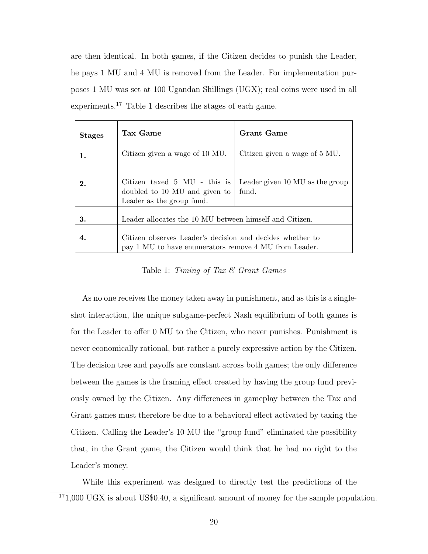are then identical. In both games, if the Citizen decides to punish the Leader, he pays 1 MU and 4 MU is removed from the Leader. For implementation purposes 1 MU was set at 100 Ugandan Shillings (UGX); real coins were used in all experiments.<sup>17</sup> Table 1 describes the stages of each game.

| <b>Stages</b> | Tax Game                                                                                                           | <b>Grant Game</b>                        |  |
|---------------|--------------------------------------------------------------------------------------------------------------------|------------------------------------------|--|
|               | Citizen given a wage of 10 MU.                                                                                     | Citizen given a wage of 5 MU.            |  |
| 2.            | Citizen taxed 5 MU - this is<br>doubled to 10 MU and given to<br>Leader as the group fund.                         | Leader given 10 MU as the group<br>fund. |  |
| 3.            | Leader allocates the 10 MU between himself and Citizen.                                                            |                                          |  |
| 4.            | Citizen observes Leader's decision and decides whether to<br>pay 1 MU to have enumerators remove 4 MU from Leader. |                                          |  |

Table 1: Timing of Tax  $\mathcal C$  Grant Games

As no one receives the money taken away in punishment, and as this is a singleshot interaction, the unique subgame-perfect Nash equilibrium of both games is for the Leader to offer 0 MU to the Citizen, who never punishes. Punishment is never economically rational, but rather a purely expressive action by the Citizen. The decision tree and payoffs are constant across both games; the only difference between the games is the framing effect created by having the group fund previously owned by the Citizen. Any differences in gameplay between the Tax and Grant games must therefore be due to a behavioral effect activated by taxing the Citizen. Calling the Leader's 10 MU the "group fund" eliminated the possibility that, in the Grant game, the Citizen would think that he had no right to the Leader's money.

While this experiment was designed to directly test the predictions of the  $171,000$  UGX is about US\$0.40, a significant amount of money for the sample population.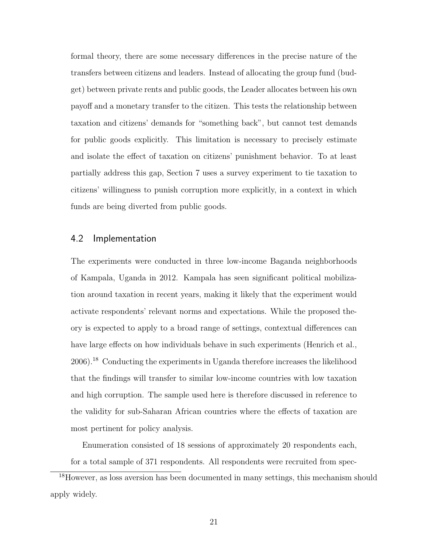formal theory, there are some necessary differences in the precise nature of the transfers between citizens and leaders. Instead of allocating the group fund (budget) between private rents and public goods, the Leader allocates between his own payoff and a monetary transfer to the citizen. This tests the relationship between taxation and citizens' demands for "something back", but cannot test demands for public goods explicitly. This limitation is necessary to precisely estimate and isolate the effect of taxation on citizens' punishment behavior. To at least partially address this gap, Section 7 uses a survey experiment to tie taxation to citizens' willingness to punish corruption more explicitly, in a context in which funds are being diverted from public goods.

#### 4.2 Implementation

The experiments were conducted in three low-income Baganda neighborhoods of Kampala, Uganda in 2012. Kampala has seen significant political mobilization around taxation in recent years, making it likely that the experiment would activate respondents' relevant norms and expectations. While the proposed theory is expected to apply to a broad range of settings, contextual differences can have large effects on how individuals behave in such experiments (Henrich et al., 2006).<sup>18</sup> Conducting the experiments in Uganda therefore increases the likelihood that the findings will transfer to similar low-income countries with low taxation and high corruption. The sample used here is therefore discussed in reference to the validity for sub-Saharan African countries where the effects of taxation are most pertinent for policy analysis.

Enumeration consisted of 18 sessions of approximately 20 respondents each, for a total sample of 371 respondents. All respondents were recruited from spec-

<sup>&</sup>lt;sup>18</sup>However, as loss aversion has been documented in many settings, this mechanism should apply widely.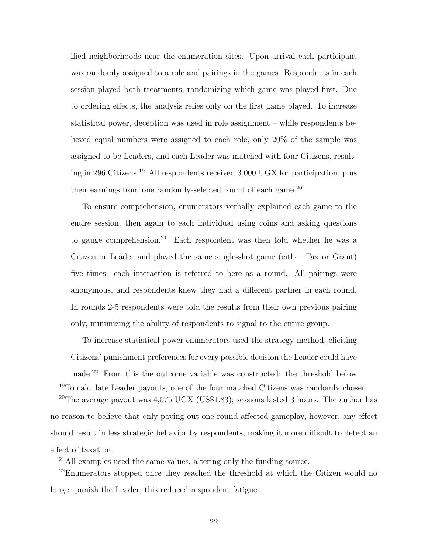ified neighborhoods near the enumeration sites. Upon arrival each participant was randomly assigned to a role and pairings in the games. Respondents in each session played both treatments, randomizing which game was played first. Due to ordering effects, the analysis relies only on the first game played. To increase statistical power, deception was used in role assignment – while respondents believed equal numbers were assigned to each role, only 20% of the sample was assigned to be Leaders, and each Leader was matched with four Citizens, resulting in 296 Citizens.<sup>19</sup> All respondents received 3,000 UGX for participation, plus their earnings from one randomly-selected round of each game.<sup>20</sup>

To ensure comprehension, enumerators verbally explained each game to the entire session, then again to each individual using coins and asking questions to gauge comprehension.<sup>21</sup> Each respondent was then told whether he was a Citizen or Leader and played the same single-shot game (either Tax or Grant) five times: each interaction is referred to here as a round. All pairings were anonymous, and respondents knew they had a different partner in each round. In rounds 2-5 respondents were told the results from their own previous pairing only, minimizing the ability of respondents to signal to the entire group.

To increase statistical power enumerators used the strategy method, eliciting Citizens' punishment preferences for every possible decision the Leader could have made.<sup>22</sup> From this the outcome variable was constructed: the threshold below

<sup>19</sup>To calculate Leader payouts, one of the four matched Citizens was randomly chosen. <sup>20</sup>The average payout was  $4,575$  UGX (US\$1.83); sessions lasted 3 hours. The author has no reason to believe that only paying out one round affected gameplay, however, any effect should result in less strategic behavior by respondents, making it more difficult to detect an effect of taxation.

<sup>21</sup>All examples used the same values, altering only the funding source.

<sup>22</sup>Enumerators stopped once they reached the threshold at which the Citizen would no longer punish the Leader; this reduced respondent fatigue.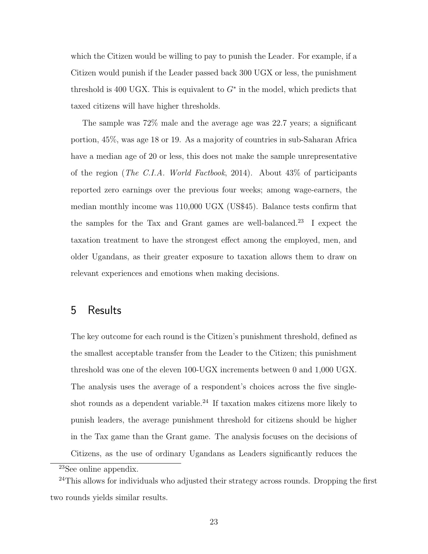which the Citizen would be willing to pay to punish the Leader. For example, if a Citizen would punish if the Leader passed back 300 UGX or less, the punishment threshold is 400 UGX. This is equivalent to  $G^*$  in the model, which predicts that taxed citizens will have higher thresholds.

The sample was 72% male and the average age was 22.7 years; a significant portion, 45%, was age 18 or 19. As a majority of countries in sub-Saharan Africa have a median age of 20 or less, this does not make the sample unrepresentative of the region (The C.I.A. World Factbook, 2014). About 43% of participants reported zero earnings over the previous four weeks; among wage-earners, the median monthly income was 110,000 UGX (US\$45). Balance tests confirm that the samples for the Tax and Grant games are well-balanced.<sup>23</sup> I expect the taxation treatment to have the strongest effect among the employed, men, and older Ugandans, as their greater exposure to taxation allows them to draw on relevant experiences and emotions when making decisions.

## 5 Results

The key outcome for each round is the Citizen's punishment threshold, defined as the smallest acceptable transfer from the Leader to the Citizen; this punishment threshold was one of the eleven 100-UGX increments between 0 and 1,000 UGX. The analysis uses the average of a respondent's choices across the five singleshot rounds as a dependent variable.<sup>24</sup> If taxation makes citizens more likely to punish leaders, the average punishment threshold for citizens should be higher in the Tax game than the Grant game. The analysis focuses on the decisions of Citizens, as the use of ordinary Ugandans as Leaders significantly reduces the

<sup>23</sup>See online appendix.

 $24$ This allows for individuals who adjusted their strategy across rounds. Dropping the first two rounds yields similar results.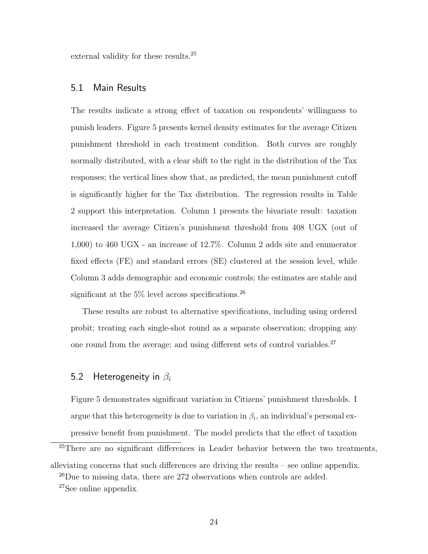external validity for these results.<sup>25</sup>

#### 5.1 Main Results

The results indicate a strong effect of taxation on respondents' willingness to punish leaders. Figure 5 presents kernel density estimates for the average Citizen punishment threshold in each treatment condition. Both curves are roughly normally distributed, with a clear shift to the right in the distribution of the Tax responses; the vertical lines show that, as predicted, the mean punishment cutoff is significantly higher for the Tax distribution. The regression results in Table 2 support this interpretation. Column 1 presents the bivariate result: taxation increased the average Citizen's punishment threshold from 408 UGX (out of 1,000) to 460 UGX - an increase of 12.7%. Column 2 adds site and enumerator fixed effects (FE) and standard errors (SE) clustered at the session level, while Column 3 adds demographic and economic controls; the estimates are stable and significant at the  $5\%$  level across specifications.<sup>26</sup>

These results are robust to alternative specifications, including using ordered probit; treating each single-shot round as a separate observation; dropping any one round from the average; and using different sets of control variables.<sup>27</sup>

### 5.2 Heterogeneity in  $\beta_i$

Figure 5 demonstrates significant variation in Citizens' punishment thresholds. I argue that this heterogeneity is due to variation in  $\beta_i$ , an individual's personal expressive benefit from punishment. The model predicts that the effect of taxation

<sup>&</sup>lt;sup>25</sup>There are no significant differences in Leader behavior between the two treatments, alleviating concerns that such differences are driving the results – see online appendix. <sup>26</sup>Due to missing data, there are 272 observations when controls are added. <sup>27</sup>See online appendix.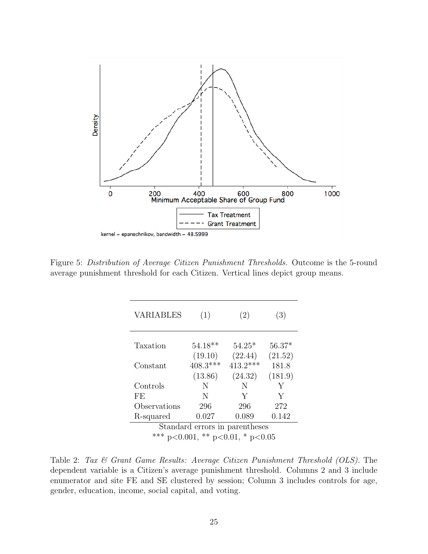

Figure 5: Distribution of Average Citizen Punishment Thresholds. Outcome is the 5-round average punishment threshold for each Citizen. Vertical lines depict group means.

| <b>VARIABLES</b>                 | (1)                   | (2)                   | (3)              |  |  |
|----------------------------------|-----------------------|-----------------------|------------------|--|--|
| Taxation                         | $54.18**$             | $54.25*$              | $56.37*$         |  |  |
| Constant                         | (19.10)<br>$408.3***$ | (22.44)<br>$413.2***$ | (21.52)<br>181.8 |  |  |
|                                  | (13.86)               | (24.32)               | (181.9)          |  |  |
| Controls                         | N                     | N                     | Y                |  |  |
| FE                               | N                     | Y                     | Y                |  |  |
| Observations                     | 296                   | 296                   | 272              |  |  |
| R-squared                        | 0.027                 | 0.089                 | 0.142            |  |  |
| Standard errors in parentheses   |                       |                       |                  |  |  |
| *** p<0.001, ** p<0.01, * p<0.05 |                       |                       |                  |  |  |

Table 2: Tax & Grant Game Results: Average Citizen Punishment Threshold (OLS). The dependent variable is a Citizen's average punishment threshold. Columns 2 and 3 include enumerator and site FE and SE clustered by session; Column 3 includes controls for age, gender, education, income, social capital, and voting.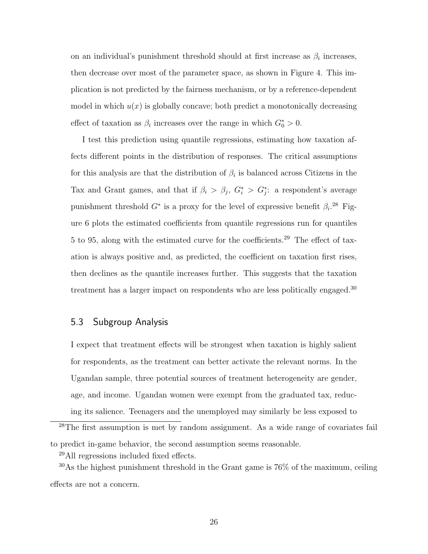on an individual's punishment threshold should at first increase as  $\beta_i$  increases, then decrease over most of the parameter space, as shown in Figure 4. This implication is not predicted by the fairness mechanism, or by a reference-dependent model in which  $u(x)$  is globally concave; both predict a monotonically decreasing effect of taxation as  $\beta_i$  increases over the range in which  $G_0^* > 0$ .

I test this prediction using quantile regressions, estimating how taxation affects different points in the distribution of responses. The critical assumptions for this analysis are that the distribution of  $\beta_i$  is balanced across Citizens in the Tax and Grant games, and that if  $\beta_i > \beta_j$ ,  $G_i^* > G_j^*$ : a respondent's average punishment threshold  $G^*$  is a proxy for the level of expressive benefit  $\beta_i$ <sup>28</sup> Figure 6 plots the estimated coefficients from quantile regressions run for quantiles 5 to 95, along with the estimated curve for the coefficients.<sup>29</sup> The effect of taxation is always positive and, as predicted, the coefficient on taxation first rises, then declines as the quantile increases further. This suggests that the taxation treatment has a larger impact on respondents who are less politically engaged.<sup>30</sup>

#### 5.3 Subgroup Analysis

I expect that treatment effects will be strongest when taxation is highly salient for respondents, as the treatment can better activate the relevant norms. In the Ugandan sample, three potential sources of treatment heterogeneity are gender, age, and income. Ugandan women were exempt from the graduated tax, reducing its salience. Teenagers and the unemployed may similarly be less exposed to

<sup>28</sup>The first assumption is met by random assignment. As a wide range of covariates fail to predict in-game behavior, the second assumption seems reasonable.

<sup>29</sup>All regressions included fixed effects.

 $30As$  the highest punishment threshold in the Grant game is  $76\%$  of the maximum, ceiling effects are not a concern.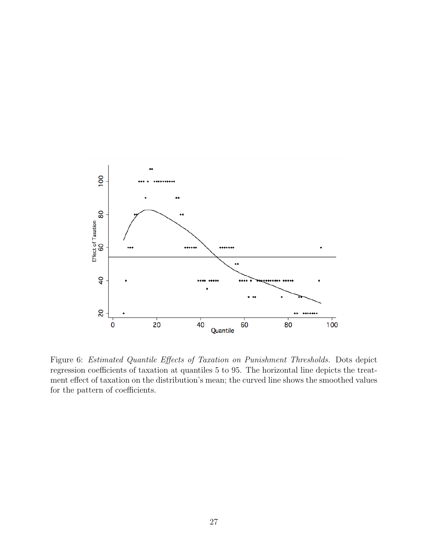

Figure 6: Estimated Quantile Effects of Taxation on Punishment Thresholds. Dots depict regression coefficients of taxation at quantiles 5 to 95. The horizontal line depicts the treatment effect of taxation on the distribution's mean; the curved line shows the smoothed values for the pattern of coefficients.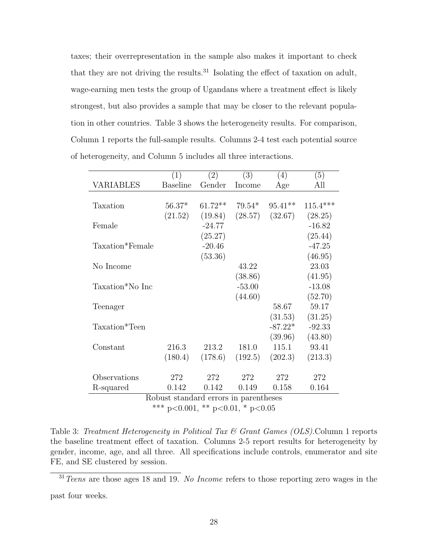taxes; their overrepresentation in the sample also makes it important to check that they are not driving the results. $31$  Isolating the effect of taxation on adult, wage-earning men tests the group of Ugandans where a treatment effect is likely strongest, but also provides a sample that may be closer to the relevant population in other countries. Table 3 shows the heterogeneity results. For comparison, Column 1 reports the full-sample results. Columns 2-4 test each potential source of heterogeneity, and Column 5 includes all three interactions.

|                                       | (1)             | (2)       | (3)      | (4)       | (5)        |
|---------------------------------------|-----------------|-----------|----------|-----------|------------|
| VARIABLES                             | <b>Baseline</b> | Gender    | Income   | Age       | All        |
|                                       |                 |           |          |           |            |
| Taxation                              | $56.37*$        | $61.72**$ | $79.54*$ | $95.41**$ | $115.4***$ |
|                                       | (21.52)         | (19.84)   | (28.57)  | (32.67)   | (28.25)    |
| Female                                |                 | $-24.77$  |          |           | $-16.82$   |
|                                       |                 | (25.27)   |          |           | (25.44)    |
| Taxation*Female                       |                 | $-20.46$  |          |           | $-47.25$   |
|                                       |                 | (53.36)   |          |           | (46.95)    |
| No Income                             |                 |           | 43.22    |           | 23.03      |
|                                       |                 |           | (38.86)  |           | (41.95)    |
| Taxation*No Inc                       |                 |           | $-53.00$ |           | $-13.08$   |
|                                       |                 |           | (44.60)  |           | (52.70)    |
| Teenager                              |                 |           |          | 58.67     | 59.17      |
|                                       |                 |           |          | (31.53)   | (31.25)    |
| Taxation*Teen                         |                 |           |          | $-87.22*$ | $-92.33$   |
|                                       |                 |           |          | (39.96)   | (43.80)    |
| Constant                              | 216.3           | 213.2     | 181.0    | 115.1     | 93.41      |
|                                       | (180.4)         | (178.6)   | (192.5)  | (202.3)   | (213.3)    |
|                                       |                 |           |          |           |            |
| Observations                          | 272             | 272       | 272      | 272       | 272        |
| R-squared                             | 0.142           | 0.142     | 0.149    | 0.158     | 0.164      |
| Robust standard errors in parentheses |                 |           |          |           |            |

Robust standard errors in parentheses

\*\*\* p<0.001, \*\* p<0.01, \* p<0.05

Table 3: Treatment Heterogeneity in Political Tax & Grant Games (OLS). Column 1 reports the baseline treatment effect of taxation. Columns 2-5 report results for heterogeneity by gender, income, age, and all three. All specifications include controls, enumerator and site FE, and SE clustered by session.

 $31$  Teens are those ages 18 and 19. No Income refers to those reporting zero wages in the past four weeks.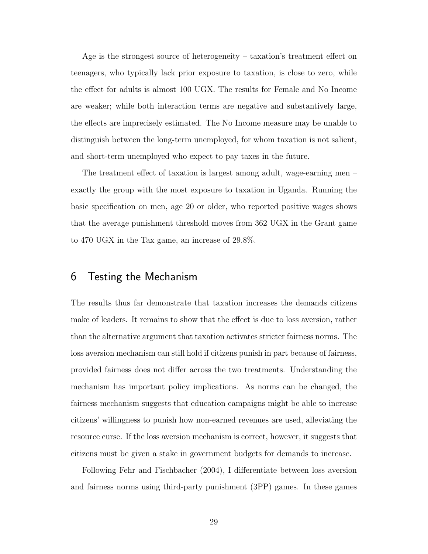Age is the strongest source of heterogeneity – taxation's treatment effect on teenagers, who typically lack prior exposure to taxation, is close to zero, while the effect for adults is almost 100 UGX. The results for Female and No Income are weaker; while both interaction terms are negative and substantively large, the effects are imprecisely estimated. The No Income measure may be unable to distinguish between the long-term unemployed, for whom taxation is not salient, and short-term unemployed who expect to pay taxes in the future.

The treatment effect of taxation is largest among adult, wage-earning men – exactly the group with the most exposure to taxation in Uganda. Running the basic specification on men, age 20 or older, who reported positive wages shows that the average punishment threshold moves from 362 UGX in the Grant game to 470 UGX in the Tax game, an increase of 29.8%.

## 6 Testing the Mechanism

The results thus far demonstrate that taxation increases the demands citizens make of leaders. It remains to show that the effect is due to loss aversion, rather than the alternative argument that taxation activates stricter fairness norms. The loss aversion mechanism can still hold if citizens punish in part because of fairness, provided fairness does not differ across the two treatments. Understanding the mechanism has important policy implications. As norms can be changed, the fairness mechanism suggests that education campaigns might be able to increase citizens' willingness to punish how non-earned revenues are used, alleviating the resource curse. If the loss aversion mechanism is correct, however, it suggests that citizens must be given a stake in government budgets for demands to increase.

Following Fehr and Fischbacher (2004), I differentiate between loss aversion and fairness norms using third-party punishment (3PP) games. In these games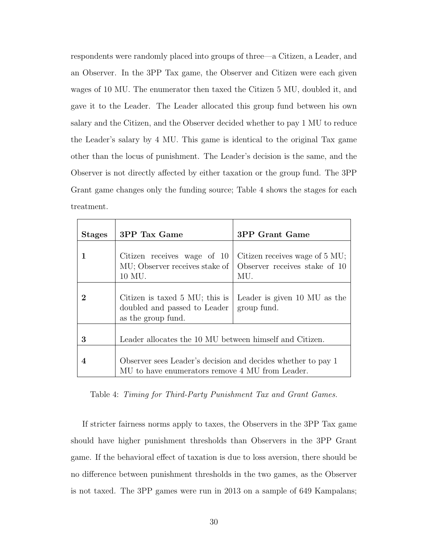respondents were randomly placed into groups of three—a Citizen, a Leader, and an Observer. In the 3PP Tax game, the Observer and Citizen were each given wages of 10 MU. The enumerator then taxed the Citizen 5 MU, doubled it, and gave it to the Leader. The Leader allocated this group fund between his own salary and the Citizen, and the Observer decided whether to pay 1 MU to reduce the Leader's salary by 4 MU. This game is identical to the original Tax game other than the locus of punishment. The Leader's decision is the same, and the Observer is not directly affected by either taxation or the group fund. The 3PP Grant game changes only the funding source; Table 4 shows the stages for each treatment.

| <b>Stages</b> | 3PP Tax Game                                                                                                    | 3PP Grant Game                                                         |
|---------------|-----------------------------------------------------------------------------------------------------------------|------------------------------------------------------------------------|
|               | Citizen receives wage of 10<br>MU; Observer receives stake of<br>10 MU.                                         | Citizen receives wage of 5 MU;<br>Observer receives stake of 10<br>MU. |
| 2             | Citizen is taxed $5 \text{ MU}$ ; this is<br>doubled and passed to Leader<br>as the group fund.                 | Leader is given 10 MU as the<br>group fund.                            |
| 3             | Leader allocates the 10 MU between himself and Citizen.                                                         |                                                                        |
| 4             | Observer sees Leader's decision and decides whether to pay 1<br>MU to have enumerators remove 4 MU from Leader. |                                                                        |

Table 4: Timing for Third-Party Punishment Tax and Grant Games.

If stricter fairness norms apply to taxes, the Observers in the 3PP Tax game should have higher punishment thresholds than Observers in the 3PP Grant game. If the behavioral effect of taxation is due to loss aversion, there should be no difference between punishment thresholds in the two games, as the Observer is not taxed. The 3PP games were run in 2013 on a sample of 649 Kampalans;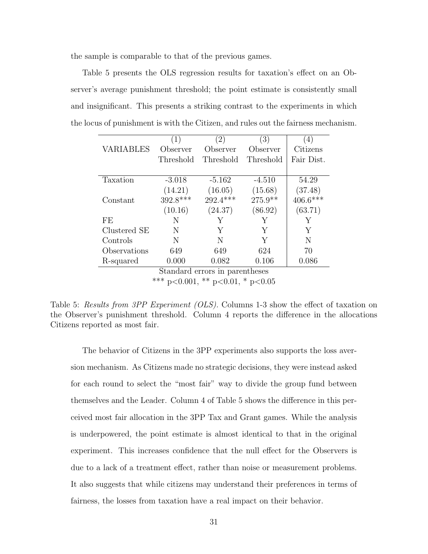the sample is comparable to that of the previous games.

Table 5 presents the OLS regression results for taxation's effect on an Observer's average punishment threshold; the point estimate is consistently small and insignificant. This presents a striking contrast to the experiments in which the locus of punishment is with the Citizen, and rules out the fairness mechanism.

|                                | (1)       | $\left( 2\right)$ | (3)       | (4)        |
|--------------------------------|-----------|-------------------|-----------|------------|
| <b>VARIABLES</b>               | Observer  | Observer          | Observer  | Citizens   |
|                                | Threshold | Threshold         | Threshold | Fair Dist. |
|                                |           |                   |           |            |
| Taxation                       | $-3.018$  | $-5.162$          | $-4.510$  | 54.29      |
|                                | (14.21)   | (16.05)           | (15.68)   | (37.48)    |
| Constant                       | 392.8***  | 292.4***          | $275.9**$ | $406.6***$ |
|                                | (10.16)   | (24.37)           | (86.92)   | (63.71)    |
| FF.                            | N         | Y                 | Y         | Υ          |
| Clustered SE                   | N         | Y                 | Y         | Y          |
| Controls                       | N         | N                 | Y         | N          |
| Observations                   | 649       | 649               | 624       | 70         |
| R-squared                      | 0.000     | 0.082             | 0.106     | 0.086      |
| Standard errors in parentheses |           |                   |           |            |

\*\*\* p<0.001, \*\* p<0.01, \* p<0.05

Table 5: Results from 3PP Experiment (OLS). Columns 1-3 show the effect of taxation on the Observer's punishment threshold. Column 4 reports the difference in the allocations Citizens reported as most fair.

The behavior of Citizens in the 3PP experiments also supports the loss aversion mechanism. As Citizens made no strategic decisions, they were instead asked for each round to select the "most fair" way to divide the group fund between themselves and the Leader. Column 4 of Table 5 shows the difference in this perceived most fair allocation in the 3PP Tax and Grant games. While the analysis is underpowered, the point estimate is almost identical to that in the original experiment. This increases confidence that the null effect for the Observers is due to a lack of a treatment effect, rather than noise or measurement problems. It also suggests that while citizens may understand their preferences in terms of fairness, the losses from taxation have a real impact on their behavior.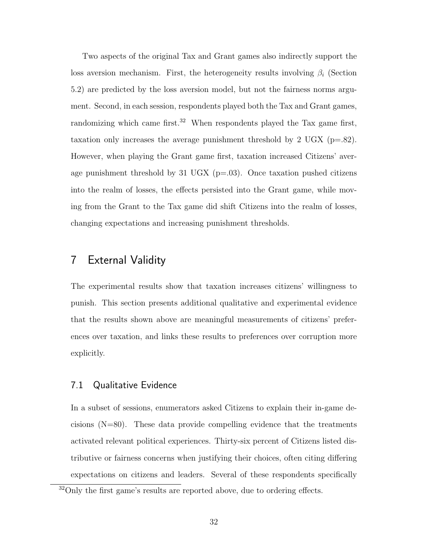Two aspects of the original Tax and Grant games also indirectly support the loss aversion mechanism. First, the heterogeneity results involving  $\beta_i$  (Section 5.2) are predicted by the loss aversion model, but not the fairness norms argument. Second, in each session, respondents played both the Tax and Grant games, randomizing which came first.<sup>32</sup> When respondents played the Tax game first, taxation only increases the average punishment threshold by 2 UGX ( $p=.82$ ). However, when playing the Grant game first, taxation increased Citizens' average punishment threshold by 31 UGX ( $p=03$ ). Once taxation pushed citizens into the realm of losses, the effects persisted into the Grant game, while moving from the Grant to the Tax game did shift Citizens into the realm of losses, changing expectations and increasing punishment thresholds.

## 7 External Validity

The experimental results show that taxation increases citizens' willingness to punish. This section presents additional qualitative and experimental evidence that the results shown above are meaningful measurements of citizens' preferences over taxation, and links these results to preferences over corruption more explicitly.

#### 7.1 Qualitative Evidence

In a subset of sessions, enumerators asked Citizens to explain their in-game decisions  $(N=80)$ . These data provide compelling evidence that the treatments activated relevant political experiences. Thirty-six percent of Citizens listed distributive or fairness concerns when justifying their choices, often citing differing expectations on citizens and leaders. Several of these respondents specifically

<sup>&</sup>lt;sup>32</sup>Only the first game's results are reported above, due to ordering effects.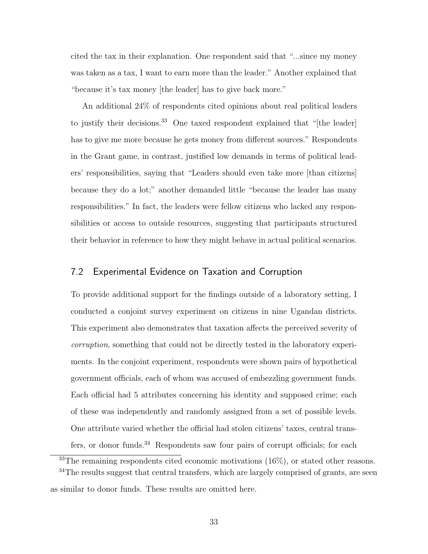cited the tax in their explanation. One respondent said that "...since my money was taken as a tax, I want to earn more than the leader." Another explained that "because it's tax money [the leader] has to give back more."

An additional 24% of respondents cited opinions about real political leaders to justify their decisions.<sup>33</sup> One taxed respondent explained that "[the leader] has to give me more because he gets money from different sources." Respondents in the Grant game, in contrast, justified low demands in terms of political leaders' responsibilities, saying that "Leaders should even take more [than citizens] because they do a lot;" another demanded little "because the leader has many responsibilities." In fact, the leaders were fellow citizens who lacked any responsibilities or access to outside resources, suggesting that participants structured their behavior in reference to how they might behave in actual political scenarios.

#### 7.2 Experimental Evidence on Taxation and Corruption

To provide additional support for the findings outside of a laboratory setting, I conducted a conjoint survey experiment on citizens in nine Ugandan districts. This experiment also demonstrates that taxation affects the perceived severity of corruption, something that could not be directly tested in the laboratory experiments. In the conjoint experiment, respondents were shown pairs of hypothetical government officials, each of whom was accused of embezzling government funds. Each official had 5 attributes concerning his identity and supposed crime; each of these was independently and randomly assigned from a set of possible levels. One attribute varied whether the official had stolen citizens' taxes, central transfers, or donor funds.<sup>34</sup> Respondents saw four pairs of corrupt officials; for each

 $33$ The remaining respondents cited economic motivations (16%), or stated other reasons. <sup>34</sup>The results suggest that central transfers, which are largely comprised of grants, are seen as similar to donor funds. These results are omitted here.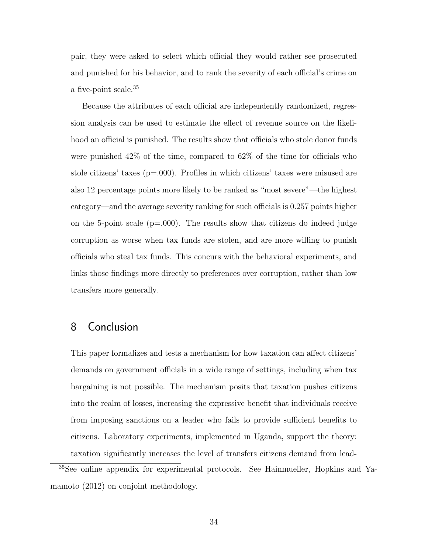pair, they were asked to select which official they would rather see prosecuted and punished for his behavior, and to rank the severity of each official's crime on a five-point scale.<sup>35</sup>

Because the attributes of each official are independently randomized, regression analysis can be used to estimate the effect of revenue source on the likelihood an official is punished. The results show that officials who stole donor funds were punished 42% of the time, compared to 62% of the time for officials who stole citizens' taxes (p=.000). Profiles in which citizens' taxes were misused are also 12 percentage points more likely to be ranked as "most severe"—the highest category—and the average severity ranking for such officials is 0.257 points higher on the 5-point scale  $(p=0.00)$ . The results show that citizens do indeed judge corruption as worse when tax funds are stolen, and are more willing to punish officials who steal tax funds. This concurs with the behavioral experiments, and links those findings more directly to preferences over corruption, rather than low transfers more generally.

## 8 Conclusion

This paper formalizes and tests a mechanism for how taxation can affect citizens' demands on government officials in a wide range of settings, including when tax bargaining is not possible. The mechanism posits that taxation pushes citizens into the realm of losses, increasing the expressive benefit that individuals receive from imposing sanctions on a leader who fails to provide sufficient benefits to citizens. Laboratory experiments, implemented in Uganda, support the theory: taxation significantly increases the level of transfers citizens demand from lead-

<sup>35</sup>See online appendix for experimental protocols. See Hainmueller, Hopkins and Yamamoto (2012) on conjoint methodology.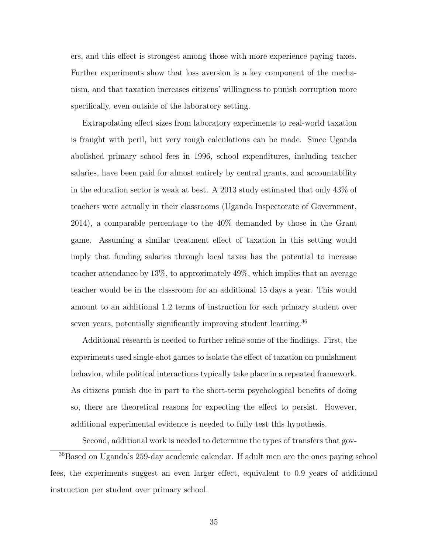ers, and this effect is strongest among those with more experience paying taxes. Further experiments show that loss aversion is a key component of the mechanism, and that taxation increases citizens' willingness to punish corruption more specifically, even outside of the laboratory setting.

Extrapolating effect sizes from laboratory experiments to real-world taxation is fraught with peril, but very rough calculations can be made. Since Uganda abolished primary school fees in 1996, school expenditures, including teacher salaries, have been paid for almost entirely by central grants, and accountability in the education sector is weak at best. A 2013 study estimated that only 43% of teachers were actually in their classrooms (Uganda Inspectorate of Government, 2014), a comparable percentage to the 40% demanded by those in the Grant game. Assuming a similar treatment effect of taxation in this setting would imply that funding salaries through local taxes has the potential to increase teacher attendance by 13%, to approximately 49%, which implies that an average teacher would be in the classroom for an additional 15 days a year. This would amount to an additional 1.2 terms of instruction for each primary student over seven years, potentially significantly improving student learning.<sup>36</sup>

Additional research is needed to further refine some of the findings. First, the experiments used single-shot games to isolate the effect of taxation on punishment behavior, while political interactions typically take place in a repeated framework. As citizens punish due in part to the short-term psychological benefits of doing so, there are theoretical reasons for expecting the effect to persist. However, additional experimental evidence is needed to fully test this hypothesis.

Second, additional work is needed to determine the types of transfers that gov-

<sup>36</sup>Based on Uganda's 259-day academic calendar. If adult men are the ones paying school fees, the experiments suggest an even larger effect, equivalent to 0.9 years of additional instruction per student over primary school.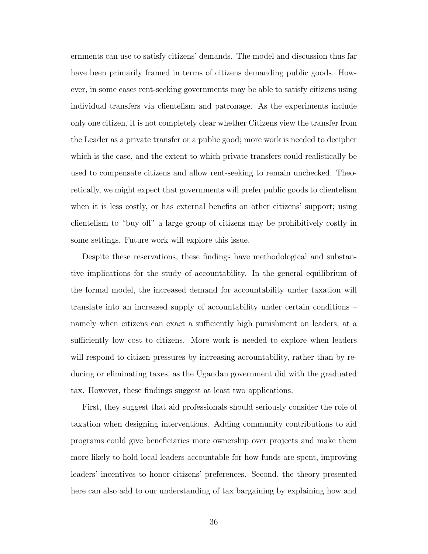ernments can use to satisfy citizens' demands. The model and discussion thus far have been primarily framed in terms of citizens demanding public goods. However, in some cases rent-seeking governments may be able to satisfy citizens using individual transfers via clientelism and patronage. As the experiments include only one citizen, it is not completely clear whether Citizens view the transfer from the Leader as a private transfer or a public good; more work is needed to decipher which is the case, and the extent to which private transfers could realistically be used to compensate citizens and allow rent-seeking to remain unchecked. Theoretically, we might expect that governments will prefer public goods to clientelism when it is less costly, or has external benefits on other citizens' support; using clientelism to "buy off" a large group of citizens may be prohibitively costly in some settings. Future work will explore this issue.

Despite these reservations, these findings have methodological and substantive implications for the study of accountability. In the general equilibrium of the formal model, the increased demand for accountability under taxation will translate into an increased supply of accountability under certain conditions – namely when citizens can exact a sufficiently high punishment on leaders, at a sufficiently low cost to citizens. More work is needed to explore when leaders will respond to citizen pressures by increasing accountability, rather than by reducing or eliminating taxes, as the Ugandan government did with the graduated tax. However, these findings suggest at least two applications.

First, they suggest that aid professionals should seriously consider the role of taxation when designing interventions. Adding community contributions to aid programs could give beneficiaries more ownership over projects and make them more likely to hold local leaders accountable for how funds are spent, improving leaders' incentives to honor citizens' preferences. Second, the theory presented here can also add to our understanding of tax bargaining by explaining how and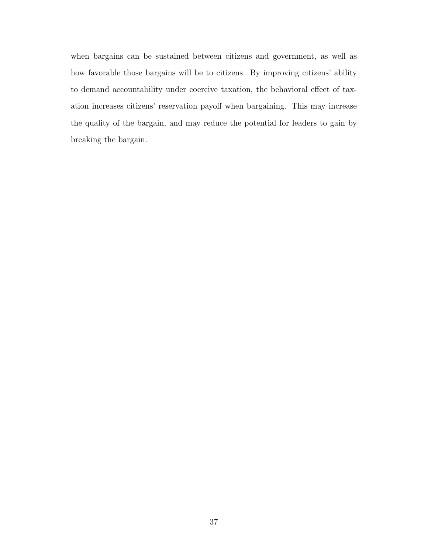when bargains can be sustained between citizens and government, as well as how favorable those bargains will be to citizens. By improving citizens' ability to demand accountability under coercive taxation, the behavioral effect of taxation increases citizens' reservation payoff when bargaining. This may increase the quality of the bargain, and may reduce the potential for leaders to gain by breaking the bargain.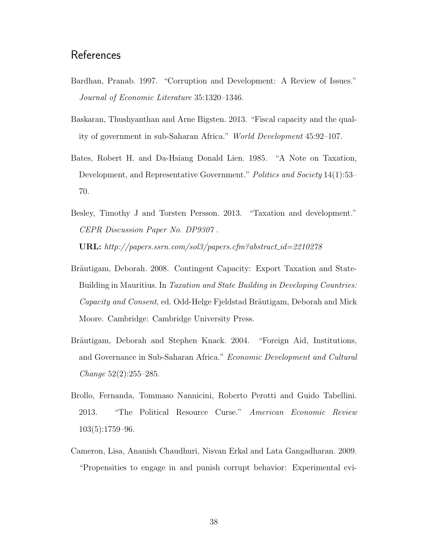# **References**

- Bardhan, Pranab. 1997. "Corruption and Development: A Review of Issues." Journal of Economic Literature 35:1320–1346.
- Baskaran, Thushyanthan and Arne Bigsten. 2013. "Fiscal capacity and the quality of government in sub-Saharan Africa." World Development 45:92–107.
- Bates, Robert H. and Da-Hsiang Donald Lien. 1985. "A Note on Taxation, Development, and Representative Government." Politics and Society 14(1):53– 70.
- Besley, Timothy J and Torsten Persson. 2013. "Taxation and development." CEPR Discussion Paper No. DP9307 . URL: http://papers.ssrn.com/sol3/papers.cfm?abstract id=2210278
- Bräutigam, Deborah. 2008. Contingent Capacity: Export Taxation and State-Building in Mauritius. In Taxation and State Building in Developing Countries: Capacity and Consent, ed. Odd-Helge Fjeldstad Bräutigam, Deborah and Mick Moore. Cambridge: Cambridge University Press.
- Bräutigam, Deborah and Stephen Knack. 2004. "Foreign Aid, Institutions, and Governance in Sub-Saharan Africa." Economic Development and Cultural Change 52(2):255–285.
- Brollo, Fernanda, Tommaso Nannicini, Roberto Perotti and Guido Tabellini. 2013. "The Political Resource Curse." American Economic Review 103(5):1759–96.
- Cameron, Lisa, Ananish Chaudhuri, Nisvan Erkal and Lata Gangadharan. 2009. "Propensities to engage in and punish corrupt behavior: Experimental evi-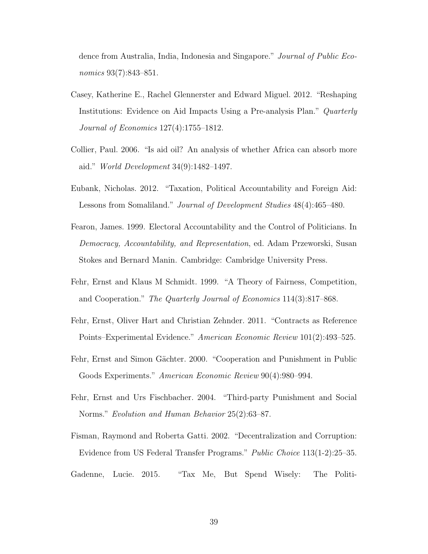dence from Australia, India, Indonesia and Singapore." Journal of Public Economics 93(7):843–851.

- Casey, Katherine E., Rachel Glennerster and Edward Miguel. 2012. "Reshaping Institutions: Evidence on Aid Impacts Using a Pre-analysis Plan." Quarterly Journal of Economics 127(4):1755–1812.
- Collier, Paul. 2006. "Is aid oil? An analysis of whether Africa can absorb more aid." World Development 34(9):1482–1497.
- Eubank, Nicholas. 2012. "Taxation, Political Accountability and Foreign Aid: Lessons from Somaliland." Journal of Development Studies 48(4):465–480.
- Fearon, James. 1999. Electoral Accountability and the Control of Politicians. In Democracy, Accountability, and Representation, ed. Adam Przeworski, Susan Stokes and Bernard Manin. Cambridge: Cambridge University Press.
- Fehr, Ernst and Klaus M Schmidt. 1999. "A Theory of Fairness, Competition, and Cooperation." The Quarterly Journal of Economics 114(3):817–868.
- Fehr, Ernst, Oliver Hart and Christian Zehnder. 2011. "Contracts as Reference Points–Experimental Evidence." American Economic Review 101(2):493–525.
- Fehr, Ernst and Simon Gächter. 2000. "Cooperation and Punishment in Public Goods Experiments." American Economic Review 90(4):980–994.
- Fehr, Ernst and Urs Fischbacher. 2004. "Third-party Punishment and Social Norms." Evolution and Human Behavior 25(2):63–87.
- Fisman, Raymond and Roberta Gatti. 2002. "Decentralization and Corruption: Evidence from US Federal Transfer Programs." Public Choice 113(1-2):25–35.

Gadenne, Lucie. 2015. "Tax Me, But Spend Wisely: The Politi-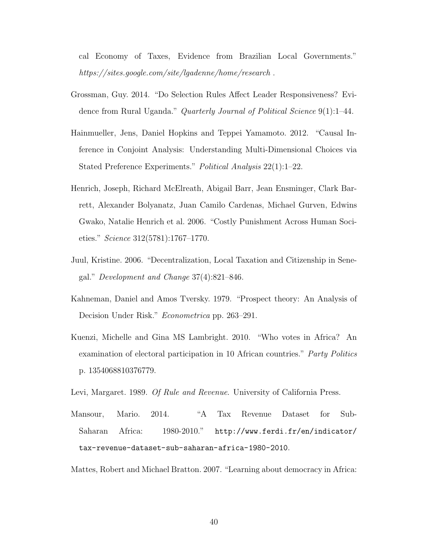cal Economy of Taxes, Evidence from Brazilian Local Governments." https://sites.google.com/site/lgadenne/home/research.

- Grossman, Guy. 2014. "Do Selection Rules Affect Leader Responsiveness? Evidence from Rural Uganda." Quarterly Journal of Political Science 9(1):1–44.
- Hainmueller, Jens, Daniel Hopkins and Teppei Yamamoto. 2012. "Causal Inference in Conjoint Analysis: Understanding Multi-Dimensional Choices via Stated Preference Experiments." Political Analysis 22(1):1–22.
- Henrich, Joseph, Richard McElreath, Abigail Barr, Jean Ensminger, Clark Barrett, Alexander Bolyanatz, Juan Camilo Cardenas, Michael Gurven, Edwins Gwako, Natalie Henrich et al. 2006. "Costly Punishment Across Human Societies." Science 312(5781):1767–1770.
- Juul, Kristine. 2006. "Decentralization, Local Taxation and Citizenship in Senegal." Development and Change 37(4):821–846.
- Kahneman, Daniel and Amos Tversky. 1979. "Prospect theory: An Analysis of Decision Under Risk." Econometrica pp. 263–291.
- Kuenzi, Michelle and Gina MS Lambright. 2010. "Who votes in Africa? An examination of electoral participation in 10 African countries." Party Politics p. 1354068810376779.
- Levi, Margaret. 1989. Of Rule and Revenue. University of California Press.
- Mansour, Mario. 2014. "A Tax Revenue Dataset for Sub-Saharan Africa: 1980-2010." http://www.ferdi.fr/en/indicator/ tax-revenue-dataset-sub-saharan-africa-1980-2010.

Mattes, Robert and Michael Bratton. 2007. "Learning about democracy in Africa: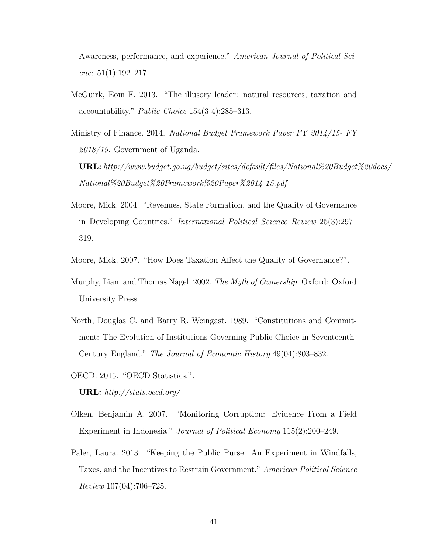Awareness, performance, and experience." American Journal of Political Science  $51(1):192-217$ .

McGuirk, Eoin F. 2013. "The illusory leader: natural resources, taxation and accountability." Public Choice 154(3-4):285–313.

Ministry of Finance. 2014. National Budget Framework Paper FY 2014/15- FY 2018/19. Government of Uganda. URL: http://www.budget.go.ug/budget/sites/default/files/National%20Budget%20docs/ National%20Budget%20Framework%20Paper%2014 15.pdf

- Moore, Mick. 2004. "Revenues, State Formation, and the Quality of Governance in Developing Countries." International Political Science Review 25(3):297– 319.
- Moore, Mick. 2007. "How Does Taxation Affect the Quality of Governance?".
- Murphy, Liam and Thomas Nagel. 2002. The Myth of Ownership. Oxford: Oxford University Press.
- North, Douglas C. and Barry R. Weingast. 1989. "Constitutions and Commitment: The Evolution of Institutions Governing Public Choice in Seventeenth-Century England." The Journal of Economic History 49(04):803–832.
- OECD. 2015. "OECD Statistics.". URL: http://stats.oecd.org/
- Olken, Benjamin A. 2007. "Monitoring Corruption: Evidence From a Field Experiment in Indonesia." Journal of Political Economy 115(2):200–249.
- Paler, Laura. 2013. "Keeping the Public Purse: An Experiment in Windfalls, Taxes, and the Incentives to Restrain Government." American Political Science Review 107(04):706–725.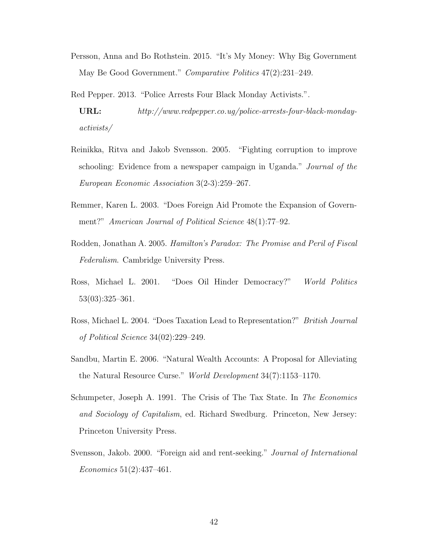- Persson, Anna and Bo Rothstein. 2015. "It's My Money: Why Big Government May Be Good Government." Comparative Politics 47(2):231–249.
- Red Pepper. 2013. "Police Arrests Four Black Monday Activists.".
- URL: http://www.redpepper.co.ug/police-arrests-four-black-mondayactivists/
- Reinikka, Ritva and Jakob Svensson. 2005. "Fighting corruption to improve schooling: Evidence from a newspaper campaign in Uganda." Journal of the European Economic Association 3(2-3):259–267.
- Remmer, Karen L. 2003. "Does Foreign Aid Promote the Expansion of Government?" American Journal of Political Science 48(1):77–92.
- Rodden, Jonathan A. 2005. Hamilton's Paradox: The Promise and Peril of Fiscal Federalism. Cambridge University Press.
- Ross, Michael L. 2001. "Does Oil Hinder Democracy?" World Politics 53(03):325–361.
- Ross, Michael L. 2004. "Does Taxation Lead to Representation?" British Journal of Political Science 34(02):229–249.
- Sandbu, Martin E. 2006. "Natural Wealth Accounts: A Proposal for Alleviating the Natural Resource Curse." World Development 34(7):1153–1170.
- Schumpeter, Joseph A. 1991. The Crisis of The Tax State. In The Economics and Sociology of Capitalism, ed. Richard Swedburg. Princeton, New Jersey: Princeton University Press.
- Svensson, Jakob. 2000. "Foreign aid and rent-seeking." Journal of International Economics 51(2):437–461.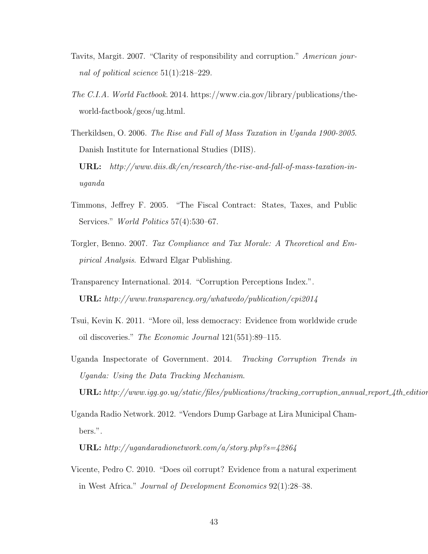- Tavits, Margit. 2007. "Clarity of responsibility and corruption." American journal of political science 51(1):218–229.
- The C.I.A. World Factbook. 2014. https://www.cia.gov/library/publications/theworld-factbook/geos/ug.html.

Therkildsen, O. 2006. The Rise and Fall of Mass Taxation in Uganda 1900-2005. Danish Institute for International Studies (DIIS). URL: http://www.diis.dk/en/research/the-rise-and-fall-of-mass-taxation-inuganda

- Timmons, Jeffrey F. 2005. "The Fiscal Contract: States, Taxes, and Public Services." World Politics 57(4):530–67.
- Torgler, Benno. 2007. Tax Compliance and Tax Morale: A Theoretical and Empirical Analysis. Edward Elgar Publishing.
- Transparency International. 2014. "Corruption Perceptions Index.". URL: http://www.transparency.org/whatwedo/publication/cpi2014
- Tsui, Kevin K. 2011. "More oil, less democracy: Evidence from worldwide crude oil discoveries." The Economic Journal 121(551):89–115.
- Uganda Inspectorate of Government. 2014. Tracking Corruption Trends in Uganda: Using the Data Tracking Mechanism.  $URL: http://www.igg.gov.ug/static/files/publications/tracking-corruption_annual_report_4th_editio$
- Uganda Radio Network. 2012. "Vendors Dump Garbage at Lira Municipal Chambers.".

URL: http://ugandaradionetwork.com/a/story.php?s=42864

Vicente, Pedro C. 2010. "Does oil corrupt? Evidence from a natural experiment in West Africa." Journal of Development Economics 92(1):28–38.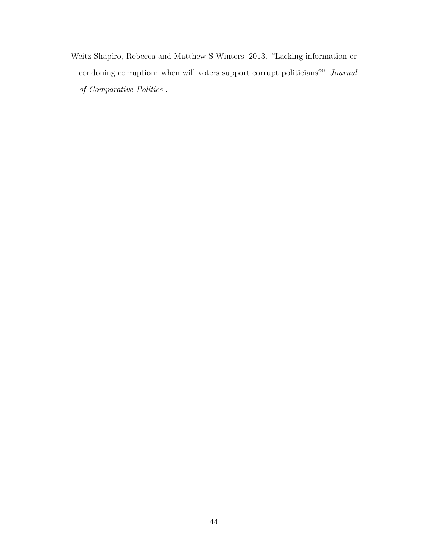Weitz-Shapiro, Rebecca and Matthew S Winters. 2013. "Lacking information or condoning corruption: when will voters support corrupt politicians?" Journal of Comparative Politics .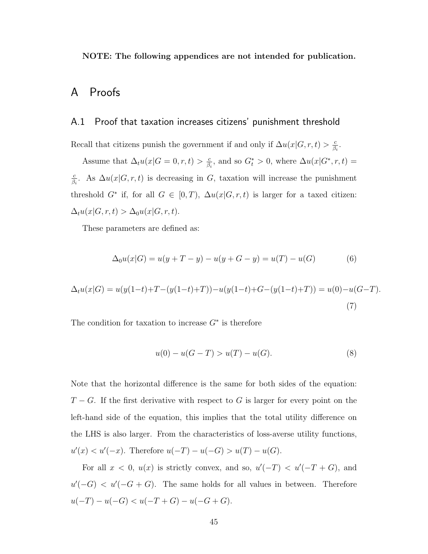NOTE: The following appendices are not intended for publication.

# A Proofs

## A.1 Proof that taxation increases citizens' punishment threshold

Recall that citizens punish the government if and only if  $\Delta u(x|G, r, t) > \frac{c}{\beta}$  $\frac{c}{\beta_i}$ .

Assume that  $\Delta_t u(x|G=0,r,t) > \frac{c}{\beta}$  $\frac{c}{\beta_i}$ , and so  $G_t^* > 0$ , where  $\Delta u(x|G^*, r, t) =$ c  $\frac{c}{\beta_i}$ . As  $\Delta u(x|G, r, t)$  is decreasing in G, taxation will increase the punishment threshold  $G^*$  if, for all  $G \in [0,T)$ ,  $\Delta u(x|G, r, t)$  is larger for a taxed citizen:  $\Delta_t u(x|G, r, t) > \Delta_0 u(x|G, r, t).$ 

These parameters are defined as:

$$
\Delta_0 u(x|G) = u(y+T-y) - u(y+G-y) = u(T) - u(G) \tag{6}
$$

$$
\Delta_t u(x|G) = u(y(1-t) + T - (y(1-t) + T)) - u(y(1-t) + G - (y(1-t) + T)) = u(0) - u(G - T).
$$
\n(7)

The condition for taxation to increase  $G^*$  is therefore

$$
u(0) - u(G - T) > u(T) - u(G).
$$
\n(8)

Note that the horizontal difference is the same for both sides of the equation:  $T - G$ . If the first derivative with respect to G is larger for every point on the left-hand side of the equation, this implies that the total utility difference on the LHS is also larger. From the characteristics of loss-averse utility functions,  $u'(x) < u'(-x)$ . Therefore  $u(-T) - u(-G) > u(T) - u(G)$ .

For all  $x < 0$ ,  $u(x)$  is strictly convex, and so,  $u'(-T) < u'(-T + G)$ , and  $u'(-G) < u'(-G+G)$ . The same holds for all values in between. Therefore  $u(-T) - u(-G) < u(-T+G) - u(-G+G)$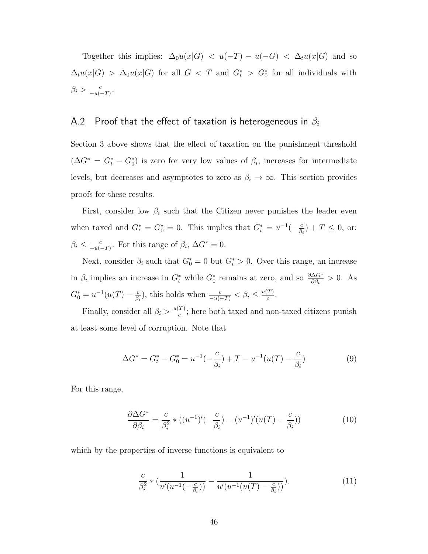Together this implies:  $\Delta_0 u(x|G) < u(-T) - u(-G) < \Delta_t u(x|G)$  and so  $\Delta_t u(x|G) > \Delta_0 u(x|G)$  for all  $G < T$  and  $G_t^* > G_0^*$  for all individuals with  $\beta_i > \frac{c}{-u}$  $\frac{c}{-u(-T)}$ .

## A.2 Proof that the effect of taxation is heterogeneous in  $\beta_i$

Section 3 above shows that the effect of taxation on the punishment threshold  $(\Delta G^* = G_t^* - G_0^*)$  is zero for very low values of  $\beta_i$ , increases for intermediate levels, but decreases and asymptotes to zero as  $\beta_i \to \infty$ . This section provides proofs for these results.

First, consider low  $\beta_i$  such that the Citizen never punishes the leader even when taxed and  $G_t^* = G_0^* = 0$ . This implies that  $G_t^* = u^{-1}(-\frac{c}{\beta})$  $\frac{c}{\beta_i}$  + T  $\leq$  0, or:  $\beta_i \leq \frac{c}{-u}$  $\frac{c}{-u(-T)}$ . For this range of  $\beta_i$ ,  $\Delta G^* = 0$ .

Next, consider  $\beta_i$  such that  $G_0^* = 0$  but  $G_t^* > 0$ . Over this range, an increase in  $\beta_i$  implies an increase in  $G_t^*$  while  $G_0^*$  remains at zero, and so  $\frac{\partial \Delta G^*}{\partial \beta_i} > 0$ . As  $G_0^* = u^{-1}(u(T) - \frac{c}{\beta})$  $\frac{c}{\beta_i}$ ), this holds when  $\frac{c}{-u(-T)} < \beta_i \leq \frac{u(T)}{c}$  $\frac{I}{c}$ .

Finally, consider all  $\beta_i > \frac{u(T)}{c}$  $\frac{I}{c}$ ; here both taxed and non-taxed citizens punish at least some level of corruption. Note that

$$
\Delta G^* = G_t^* - G_0^* = u^{-1}(-\frac{c}{\beta_i}) + T - u^{-1}(u(T) - \frac{c}{\beta_i})
$$
\n(9)

For this range,

$$
\frac{\partial \Delta G^*}{\partial \beta_i} = \frac{c}{\beta_i^2} * ((u^{-1})'(-\frac{c}{\beta_i}) - (u^{-1})'(u(T) - \frac{c}{\beta_i}))
$$
(10)

which by the properties of inverse functions is equivalent to

$$
\frac{c}{\beta_i^2} * \left( \frac{1}{u'(u^{-1}(-\frac{c}{\beta_i}))} - \frac{1}{u'(u^{-1}(u(T) - \frac{c}{\beta_i}))} \right).
$$
\n(11)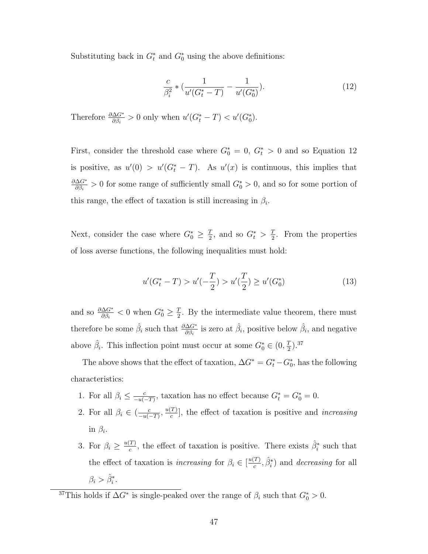Substituting back in  $G_t^*$  and  $G_0^*$  using the above definitions:

$$
\frac{c}{\beta_i^2} * \left( \frac{1}{u'(G_t^* - T)} - \frac{1}{u'(G_0^*)} \right). \tag{12}
$$

Therefore  $\frac{\partial \Delta G^*}{\partial \beta_i} > 0$  only when  $u'(G^*_t - T) < u'(G^*_0)$ .

First, consider the threshold case where  $G_0^* = 0$ ,  $G_t^* > 0$  and so Equation 12 is positive, as  $u'(0) > u'(G_t^* - T)$ . As  $u'(x)$  is continuous, this implies that ∂∆G<sup>∗</sup>  $\frac{\Delta G^*}{\partial \beta_i} > 0$  for some range of sufficiently small  $G_0^* > 0$ , and so for some portion of this range, the effect of taxation is still increasing in  $\beta_i$ .

Next, consider the case where  $G_0^* \geq \frac{7}{2}$  $\frac{T}{2}$ , and so  $G_t^* > \frac{T}{2}$  $\frac{T}{2}$ . From the properties of loss averse functions, the following inequalities must hold:

$$
u'(G_t^* - T) > u'(-\frac{T}{2}) > u'(\frac{T}{2}) \ge u'(G_0^*)
$$
\n(13)

and so  $\frac{\partial \Delta G^*}{\partial \beta_i} < 0$  when  $G_0^* \geq \frac{7}{2}$  $\frac{T}{2}$ . By the intermediate value theorem, there must therefore be some  $\hat{\beta}_i$  such that  $\frac{\partial \Delta G^*}{\partial \beta_i}$  is zero at  $\hat{\beta}_i$ , positive below  $\hat{\beta}_i$ , and negative above  $\hat{\beta}_i$ . This inflection point must occur at some  $G_0^* \in (0, \frac{7}{2})$  $(\frac{T}{2})$ .<sup>37</sup>

The above shows that the effect of taxation,  $\Delta G^* = G_t^* - G_0^*$ , has the following characteristics:

- 1. For all  $\beta_i \leq \frac{c}{-n}$  $\frac{c}{-u(-T)}$ , taxation has no effect because  $G_t^* = G_0^* = 0$ .
- 2. For all  $\beta_i \in \left(\frac{c}{-n}\right)$  $\frac{c}{-u(-T)}$ ,  $\frac{u(T)}{c}$  $\frac{I}{c}$ , the effect of taxation is positive and *increasing* in  $\beta_i$ .
- 3. For  $\beta_i \geq \frac{u(T)}{c}$  $\frac{T}{c}$ , the effect of taxation is positive. There exists  $\hat{\beta}_i^*$  such that the effect of taxation is *increasing* for  $\beta_i \in \left[\frac{u(T)}{c}\right]$  $\langle \frac{T}{c}, \hat{\beta}_{i}^{*} \rangle$  and *decreasing* for all  $\beta_i > \hat{\beta}_i^*.$

<sup>&</sup>lt;sup>37</sup>This holds if  $\Delta G^*$  is single-peaked over the range of  $\beta_i$  such that  $G_0^* > 0$ .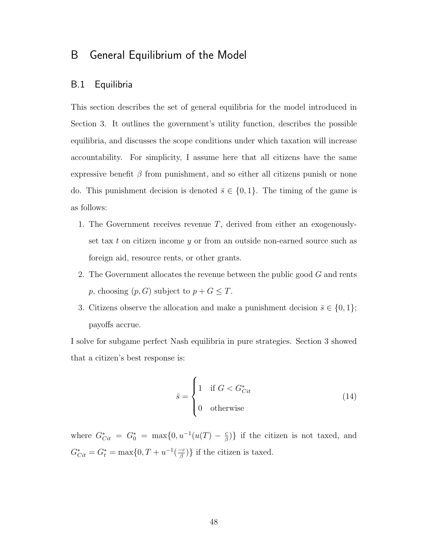# B General Equilibrium of the Model

# B.1 Equilibria

This section describes the set of general equilibria for the model introduced in Section 3. It outlines the government's utility function, describes the possible equilibria, and discusses the scope conditions under which taxation will increase accountability. For simplicity, I assume here that all citizens have the same expressive benefit  $\beta$  from punishment, and so either all citizens punish or none do. This punishment decision is denoted  $\bar{s} \in \{0,1\}$ . The timing of the game is as follows:

- 1. The Government receives revenue  $T$ , derived from either an exogenouslyset tax t on citizen income  $y$  or from an outside non-earned source such as foreign aid, resource rents, or other grants.
- 2. The Government allocates the revenue between the public good  $G$  and rents *p*, choosing  $(p, G)$  subject to  $p + G \leq T$ .
- 3. Citizens observe the allocation and make a punishment decision  $\bar{s} \in \{0, 1\};$ payoffs accrue.

I solve for subgame perfect Nash equilibria in pure strategies. Section 3 showed that a citizen's best response is:

$$
\bar{s} = \begin{cases} 1 & \text{if } G < G_{\text{Cit}}^* \\ 0 & \text{otherwise} \end{cases} \tag{14}
$$

where  $G^*_{Cit} = G^*_0 = \max\{0, u^{-1}(u(T) - \frac{c}{\beta})\}$  $\left(\frac{c}{\beta}\right)$  if the citizen is not taxed, and  $G_{Cit}^* = G_t^* = \max\{0, T + u^{-1}(\frac{-c}{\beta})\}$  $\left\{\frac{-c}{\beta}\right\}$  if the citizen is taxed.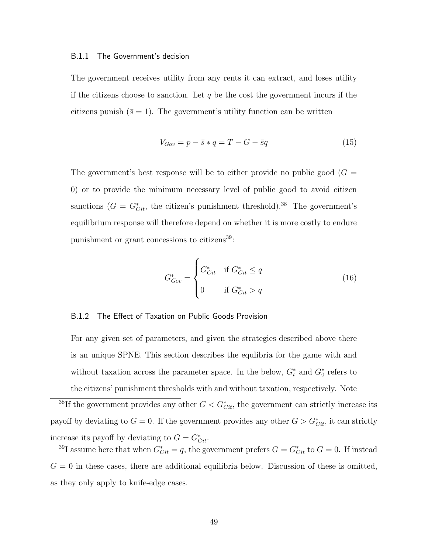#### B.1.1 The Government's decision

The government receives utility from any rents it can extract, and loses utility if the citizens choose to sanction. Let  $q$  be the cost the government incurs if the citizens punish  $(\bar{s} = 1)$ . The government's utility function can be written

$$
V_{Gov} = p - \bar{s} * q = T - G - \bar{s}q \tag{15}
$$

The government's best response will be to either provide no public good  $(G =$ 0) or to provide the minimum necessary level of public good to avoid citizen sanctions  $(G = G_{\text{Cit}}^*$ , the citizen's punishment threshold).<sup>38</sup> The government's equilibrium response will therefore depend on whether it is more costly to endure punishment or grant concessions to citizens $^{39}$ :

$$
G_{Gov}^{*} = \begin{cases} G_{Cit}^{*} & \text{if } G_{Cit}^{*} \le q \\ 0 & \text{if } G_{Cit}^{*} > q \end{cases}
$$
 (16)

## B.1.2 The Effect of Taxation on Public Goods Provision

For any given set of parameters, and given the strategies described above there is an unique SPNE. This section describes the equlibria for the game with and without taxation across the parameter space. In the below,  $G_t^*$  and  $G_0^*$  refers to the citizens' punishment thresholds with and without taxation, respectively. Note

<sup>&</sup>lt;sup>38</sup>If the government provides any other  $G < G^*_{Cit}$ , the government can strictly increase its payoff by deviating to  $G = 0$ . If the government provides any other  $G > G^*_{Cit}$ , it can strictly increase its payoff by deviating to  $G = G^*_{\text{Cit}}$ .

<sup>&</sup>lt;sup>39</sup>I assume here that when  $G^*_{Cit} = q$ , the government prefers  $G = G^*_{Cit}$  to  $G = 0$ . If instead  $G = 0$  in these cases, there are additional equilibria below. Discussion of these is omitted, as they only apply to knife-edge cases.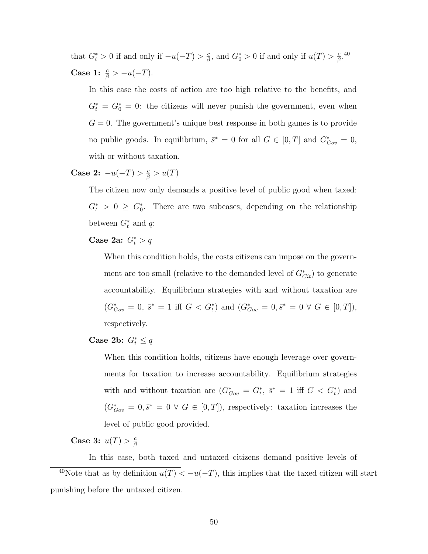that  $G_t^* > 0$  if and only if  $-u(-T) > \frac{c}{\beta}$  $\frac{c}{\beta}$ , and  $G_0^* > 0$  if and only if  $u(T) > \frac{c}{\beta}$  $\frac{c}{\beta}$ .<sup>40</sup> Case 1:  $\frac{c}{\beta} > -u(-T)$ .

In this case the costs of action are too high relative to the benefits, and  $G_t^* = G_0^* = 0$ : the citizens will never punish the government, even when  $G = 0$ . The government's unique best response in both games is to provide no public goods. In equilibrium,  $\bar{s}^* = 0$  for all  $G \in [0, T]$  and  $G^*_{Gov} = 0$ , with or without taxation.

Case 2:  $-u(-T) > \frac{c}{\beta} > u(T)$ 

The citizen now only demands a positive level of public good when taxed:  $G_t^* > 0 \geq G_0^*$ . There are two subcases, depending on the relationship between  $G_t^*$  and  $q$ :

# Case 2a:  $G_t^* > q$

When this condition holds, the costs citizens can impose on the government are too small (relative to the demanded level of  $G^*_{Cit}$ ) to generate accountability. Equilibrium strategies with and without taxation are  $(G_{Gov}^* = 0, \overline{s}^* = 1 \text{ iff } G < G_t^*$  and  $(G_{Gov}^* = 0, \overline{s}^* = 0 \ \forall \ G \in [0, T]),$ respectively.

# Case 2b:  $G_t^* \leq q$

When this condition holds, citizens have enough leverage over governments for taxation to increase accountability. Equilibrium strategies with and without taxation are  $(G_{Gov}^* = G_t^*, \bar{s}^* = 1 \text{ iff } G < G_t^*)$  and  $(G^*_{Gov} = 0, \bar{s}^* = 0 \ \forall \ G \in [0, T]),$  respectively: taxation increases the level of public good provided.

Case 3:  $u(T) > \frac{c}{6}$ β

In this case, both taxed and untaxed citizens demand positive levels of <sup>40</sup>Note that as by definition  $u(T) < -u(-T)$ , this implies that the taxed citizen will start punishing before the untaxed citizen.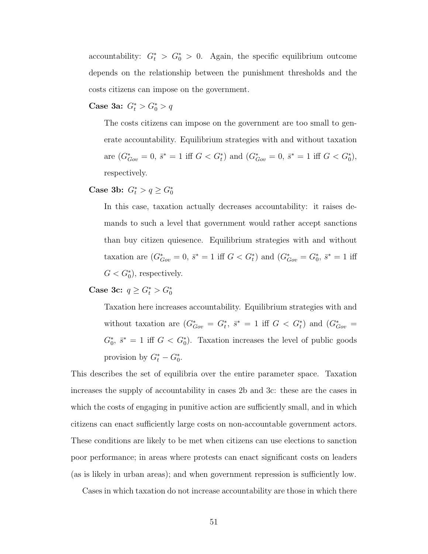accountability:  $G_t^* > G_0^* > 0$ . Again, the specific equilibrium outcome depends on the relationship between the punishment thresholds and the costs citizens can impose on the government.

Case 3a:  $G_t^* > G_0^* > q$ 

The costs citizens can impose on the government are too small to generate accountability. Equilibrium strategies with and without taxation are  $(G_{Gov}^* = 0, \overline{s}^* = 1 \text{ iff } G < G_t^*$  and  $(G_{Gov}^* = 0, \overline{s}^* = 1 \text{ iff } G < G_0^*$ , respectively.

# Case 3b:  $G_t^* > q \ge G_0^*$

In this case, taxation actually decreases accountability: it raises demands to such a level that government would rather accept sanctions than buy citizen quiesence. Equilibrium strategies with and without taxation are  $(G_{Gov}^* = 0, \bar{s}^* = 1 \text{ iff } G < G_t^*$  and  $(G_{Gov}^* = G_0^*, \bar{s}^* = 1 \text{ iff }$  $G < G_0^*$ , respectively.

Case 3c:  $q \ge G_t^* > G_0^*$ 

Taxation here increases accountability. Equilibrium strategies with and without taxation are  $(G_{Gov}^* = G_t^*, \bar{s}^* = 1 \text{ iff } G < G_t^*)$  and  $(G_{Gov}^* =$  $G_0^*, \bar{s}^* = 1$  iff  $G < G_0^*$ ). Taxation increases the level of public goods provision by  $G_t^* - G_0^*$ .

This describes the set of equilibria over the entire parameter space. Taxation increases the supply of accountability in cases 2b and 3c: these are the cases in which the costs of engaging in punitive action are sufficiently small, and in which citizens can enact sufficiently large costs on non-accountable government actors. These conditions are likely to be met when citizens can use elections to sanction poor performance; in areas where protests can enact significant costs on leaders (as is likely in urban areas); and when government repression is sufficiently low.

Cases in which taxation do not increase accountability are those in which there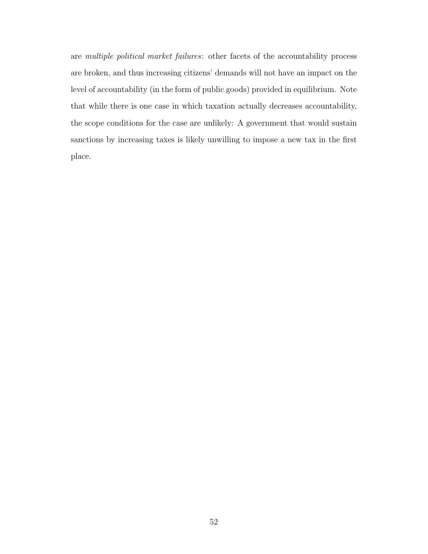are multiple political market failures: other facets of the accountability process are broken, and thus increasing citizens' demands will not have an impact on the level of accountability (in the form of public goods) provided in equilibrium. Note that while there is one case in which taxation actually decreases accountability, the scope conditions for the case are unlikely: A government that would sustain sanctions by increasing taxes is likely unwilling to impose a new tax in the first place.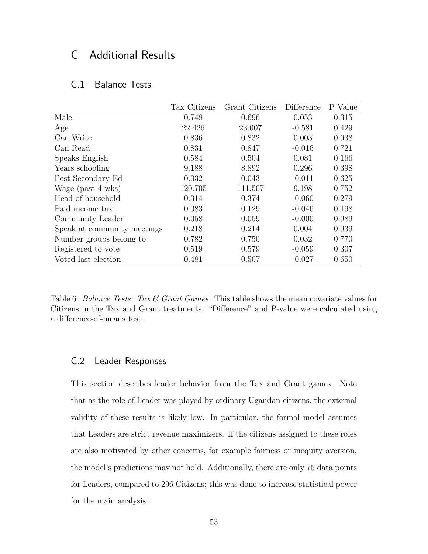# C Additional Results

| C.1 | <b>Balance Tests</b> |  |
|-----|----------------------|--|
|     |                      |  |

|                             | Tax Citizens | Grant Citizens | Difference | P Value |
|-----------------------------|--------------|----------------|------------|---------|
| Male                        | 0.748        | 0.696          | 0.053      | 0.315   |
| Age                         | 22.426       | 23.007         | $-0.581$   | 0.429   |
| Can Write                   | 0.836        | 0.832          | 0.003      | 0.938   |
| Can Read                    | 0.831        | 0.847          | $-0.016$   | 0.721   |
| Speaks English              | 0.584        | 0.504          | 0.081      | 0.166   |
| Years schooling             | 9.188        | 8.892          | 0.296      | 0.398   |
| Post Secondary Ed           | 0.032        | 0.043          | $-0.011$   | 0.625   |
| Wage (past 4 wks)           | 120.705      | 111.507        | 9.198      | 0.752   |
| Head of household           | 0.314        | 0.374          | $-0.060$   | 0.279   |
| Paid income tax             | 0.083        | 0.129          | $-0.046$   | 0.198   |
| Community Leader            | 0.058        | 0.059          | $-0.000$   | 0.989   |
| Speak at community meetings | 0.218        | 0.214          | 0.004      | 0.939   |
| Number groups belong to     | 0.782        | 0.750          | 0.032      | 0.770   |
| Registered to vote          | 0.519        | 0.579          | $-0.059$   | 0.307   |
| Voted last election         | 0.481        | 0.507          | $-0.027$   | 0.650   |

Table 6: Balance Tests: Tax  $\mathcal C$  Grant Games. This table shows the mean covariate values for Citizens in the Tax and Grant treatments. "Difference" and P-value were calculated using a difference-of-means test.

## C.2 Leader Responses

This section describes leader behavior from the Tax and Grant games. Note that as the role of Leader was played by ordinary Ugandan citizens, the external validity of these results is likely low. In particular, the formal model assumes that Leaders are strict revenue maximizers. If the citizens assigned to these roles are also motivated by other concerns, for example fairness or inequity aversion, the model's predictions may not hold. Additionally, there are only 75 data points for Leaders, compared to 296 Citizens; this was done to increase statistical power for the main analysis.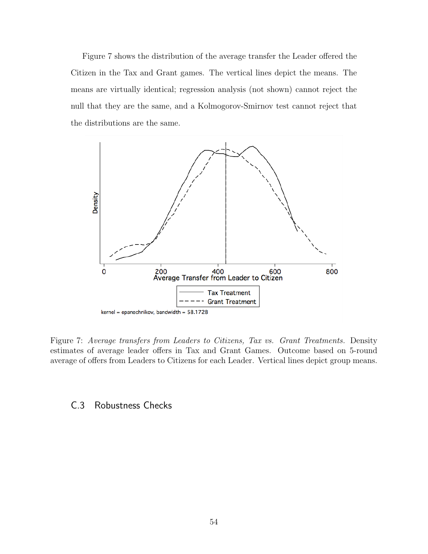Figure 7 shows the distribution of the average transfer the Leader offered the Citizen in the Tax and Grant games. The vertical lines depict the means. The means are virtually identical; regression analysis (not shown) cannot reject the null that they are the same, and a Kolmogorov-Smirnov test cannot reject that the distributions are the same.



Figure 7: Average transfers from Leaders to Citizens, Tax vs. Grant Treatments. Density estimates of average leader offers in Tax and Grant Games. Outcome based on 5-round average of offers from Leaders to Citizens for each Leader. Vertical lines depict group means.

# C.3 Robustness Checks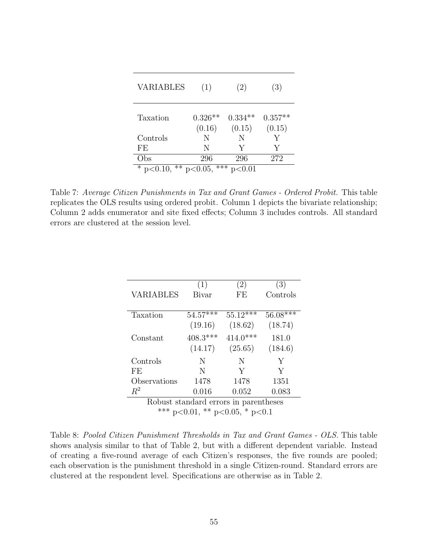| <b>VARIABLES</b> | (1)                        | (2)                 | (3)                 |
|------------------|----------------------------|---------------------|---------------------|
| Taxation         | $0.326**$<br>(0.16)        | $0.334**$<br>(0.15) | $0.357**$<br>(0.15) |
| Controls         | N                          | N                   | Y                   |
| FE.              | N                          | Y                   | V                   |
| Obs              | 296                        | 296                 | 272                 |
| * $p<0.10$ ,     | ***<br>$*\times p < 0.05,$ | p<0.01              |                     |

Table 7: Average Citizen Punishments in Tax and Grant Games - Ordered Probit. This table replicates the OLS results using ordered probit. Column 1 depicts the bivariate relationship; Column 2 adds enumerator and site fixed effects; Column 3 includes controls. All standard errors are clustered at the session level.

|                                        | (1)        | $\left( 2\right)$ | (3)        |
|----------------------------------------|------------|-------------------|------------|
| <b>VARIABLES</b>                       | Bivar      | FE                | Controls   |
|                                        |            |                   |            |
| Taxation                               | $54.57***$ | $55.12***$        | $56.08***$ |
|                                        | (19.16)    | (18.62)           | (18.74)    |
| Constant                               | $408.3***$ | $414.0***$        | 181.0      |
|                                        | (14.17)    | (25.65)           | (184.6)    |
| Controls                               | N          | N                 | Y          |
| FE                                     | N          | Y                 | Y          |
| Observations                           | 1478       | 1478              | 1351       |
| $R^2$                                  | 0.016      | 0.052             | 0.083      |
| Robust standard errors in parentheses  |            |                   |            |
| *** $p<0.01$ , ** $p<0.05$ , * $p<0.1$ |            |                   |            |

Table 8: Pooled Citizen Punishment Thresholds in Tax and Grant Games - OLS. This table shows analysis similar to that of Table 2, but with a different dependent variable. Instead of creating a five-round average of each Citizen's responses, the five rounds are pooled; each observation is the punishment threshold in a single Citizen-round. Standard errors are clustered at the respondent level. Specifications are otherwise as in Table 2.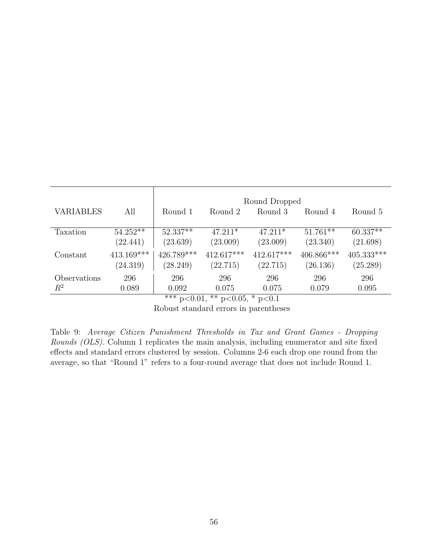|                         |                          | Round Dropped          |                          |                        |                        |                          |
|-------------------------|--------------------------|------------------------|--------------------------|------------------------|------------------------|--------------------------|
| <b>VARIABLES</b>        | All                      | Round 1                | Round 2                  | Round 3                | Round 4                | Round 5                  |
| Taxation                | $54.252**$<br>(22.441)   | $52.337**$<br>(23.639) | $47.211*$<br>(23.009)    | $47.211*$<br>(23.009)  | $51.761**$<br>(23.340) | $60.337**$<br>(21.698)   |
| Constant                | $413.169***$<br>(24.319) | 426.789***<br>(28.249) | $412.617***$<br>(22.715) | 412.617***<br>(22.715) | 406.866***<br>(26.136) | $405.333***$<br>(25.289) |
| Observations<br>$\,R^2$ | 296<br>0.089             | 296<br>0.092<br>.      | 296<br>0.075<br>.        | 296<br>0.075           | 296<br>0.079           | 296<br>0.095             |

\*\*\* p<0.01, \*\* p<0.05, \* p<0.1

Robust standard errors in parentheses

Table 9: Average Citizen Punishment Thresholds in Tax and Grant Games - Dropping Rounds (OLS). Column 1 replicates the main analysis, including enumerator and site fixed effects and standard errors clustered by session. Columns 2-6 each drop one round from the average, so that "Round 1" refers to a four-round average that does not include Round 1.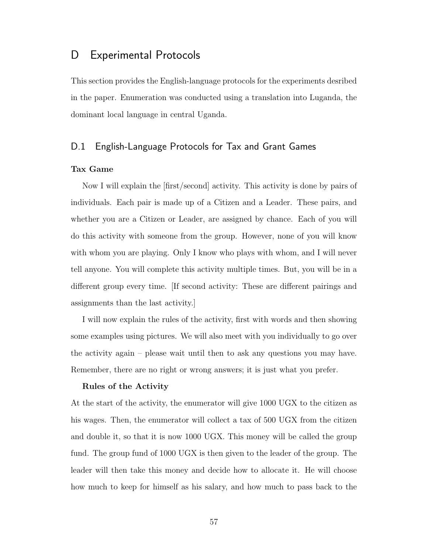# D Experimental Protocols

This section provides the English-language protocols for the experiments desribed in the paper. Enumeration was conducted using a translation into Luganda, the dominant local language in central Uganda.

# D.1 English-Language Protocols for Tax and Grant Games

## Tax Game

Now I will explain the [first/second] activity. This activity is done by pairs of individuals. Each pair is made up of a Citizen and a Leader. These pairs, and whether you are a Citizen or Leader, are assigned by chance. Each of you will do this activity with someone from the group. However, none of you will know with whom you are playing. Only I know who plays with whom, and I will never tell anyone. You will complete this activity multiple times. But, you will be in a different group every time. [If second activity: These are different pairings and assignments than the last activity.]

I will now explain the rules of the activity, first with words and then showing some examples using pictures. We will also meet with you individually to go over the activity again – please wait until then to ask any questions you may have. Remember, there are no right or wrong answers; it is just what you prefer.

### Rules of the Activity

At the start of the activity, the enumerator will give 1000 UGX to the citizen as his wages. Then, the enumerator will collect a tax of 500 UGX from the citizen and double it, so that it is now 1000 UGX. This money will be called the group fund. The group fund of 1000 UGX is then given to the leader of the group. The leader will then take this money and decide how to allocate it. He will choose how much to keep for himself as his salary, and how much to pass back to the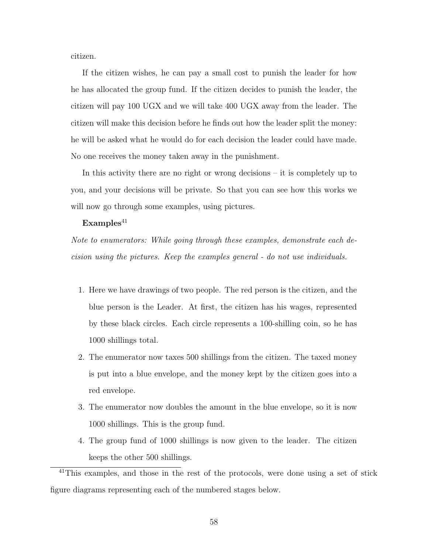citizen.

If the citizen wishes, he can pay a small cost to punish the leader for how he has allocated the group fund. If the citizen decides to punish the leader, the citizen will pay 100 UGX and we will take 400 UGX away from the leader. The citizen will make this decision before he finds out how the leader split the money: he will be asked what he would do for each decision the leader could have made. No one receives the money taken away in the punishment.

In this activity there are no right or wrong decisions – it is completely up to you, and your decisions will be private. So that you can see how this works we will now go through some examples, using pictures.

## $Examples<sup>41</sup>$

Note to enumerators: While going through these examples, demonstrate each decision using the pictures. Keep the examples general - do not use individuals.

- 1. Here we have drawings of two people. The red person is the citizen, and the blue person is the Leader. At first, the citizen has his wages, represented by these black circles. Each circle represents a 100-shilling coin, so he has 1000 shillings total.
- 2. The enumerator now taxes 500 shillings from the citizen. The taxed money is put into a blue envelope, and the money kept by the citizen goes into a red envelope.
- 3. The enumerator now doubles the amount in the blue envelope, so it is now 1000 shillings. This is the group fund.
- 4. The group fund of 1000 shillings is now given to the leader. The citizen keeps the other 500 shillings.

<sup>41</sup>This examples, and those in the rest of the protocols, were done using a set of stick figure diagrams representing each of the numbered stages below.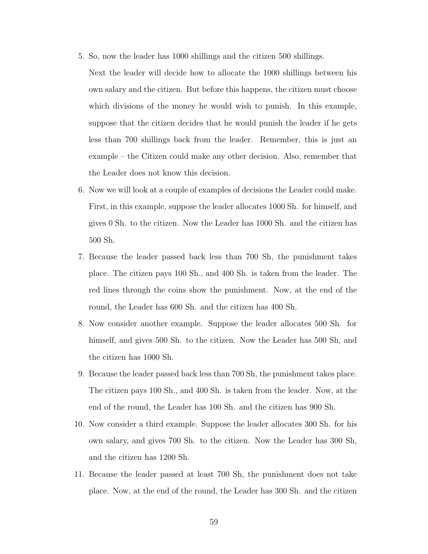5. So, now the leader has 1000 shillings and the citizen 500 shillings.

Next the leader will decide how to allocate the 1000 shillings between his own salary and the citizen. But before this happens, the citizen must choose which divisions of the money he would wish to punish. In this example, suppose that the citizen decides that he would punish the leader if he gets less than 700 shillings back from the leader. Remember, this is just an example – the Citizen could make any other decision. Also, remember that the Leader does not know this decision.

- 6. Now we will look at a couple of examples of decisions the Leader could make. First, in this example, suppose the leader allocates 1000 Sh. for himself, and gives 0 Sh. to the citizen. Now the Leader has 1000 Sh. and the citizen has 500 Sh.
- 7. Because the leader passed back less than 700 Sh, the punishment takes place. The citizen pays 100 Sh., and 400 Sh. is taken from the leader. The red lines through the coins show the punishment. Now, at the end of the round, the Leader has 600 Sh. and the citizen has 400 Sh.
- 8. Now consider another example. Suppose the leader allocates 500 Sh. for himself, and gives 500 Sh. to the citizen. Now the Leader has 500 Sh, and the citizen has 1000 Sh.
- 9. Because the leader passed back less than 700 Sh, the punishment takes place. The citizen pays 100 Sh., and 400 Sh. is taken from the leader. Now, at the end of the round, the Leader has 100 Sh. and the citizen has 900 Sh.
- 10. Now consider a third example. Suppose the leader allocates 300 Sh. for his own salary, and gives 700 Sh. to the citizen. Now the Leader has 300 Sh, and the citizen has 1200 Sh.
- 11. Because the leader passed at least 700 Sh, the punishment does not take place. Now, at the end of the round, the Leader has 300 Sh. and the citizen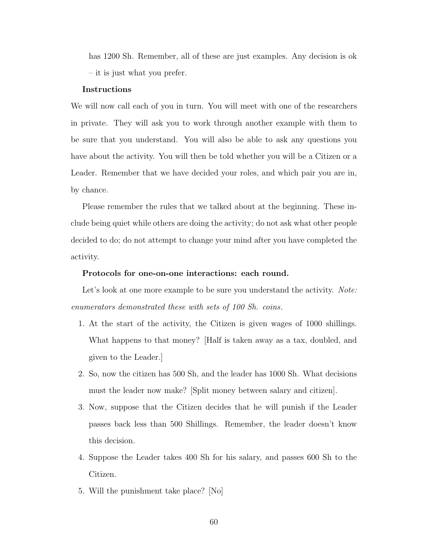has 1200 Sh. Remember, all of these are just examples. Any decision is ok – it is just what you prefer.

### Instructions

We will now call each of you in turn. You will meet with one of the researchers in private. They will ask you to work through another example with them to be sure that you understand. You will also be able to ask any questions you have about the activity. You will then be told whether you will be a Citizen or a Leader. Remember that we have decided your roles, and which pair you are in, by chance.

Please remember the rules that we talked about at the beginning. These include being quiet while others are doing the activity; do not ask what other people decided to do; do not attempt to change your mind after you have completed the activity.

### Protocols for one-on-one interactions: each round.

Let's look at one more example to be sure you understand the activity. Note: enumerators demonstrated these with sets of 100 Sh. coins.

- 1. At the start of the activity, the Citizen is given wages of 1000 shillings. What happens to that money? [Half is taken away as a tax, doubled, and given to the Leader.]
- 2. So, now the citizen has 500 Sh, and the leader has 1000 Sh. What decisions must the leader now make? [Split money between salary and citizen].
- 3. Now, suppose that the Citizen decides that he will punish if the Leader passes back less than 500 Shillings. Remember, the leader doesn't know this decision.
- 4. Suppose the Leader takes 400 Sh for his salary, and passes 600 Sh to the Citizen.
- 5. Will the punishment take place? [No]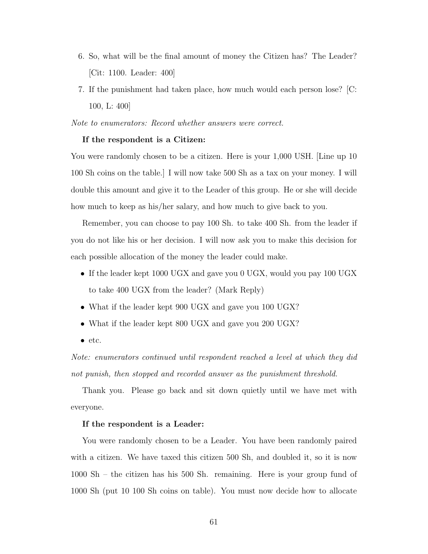- 6. So, what will be the final amount of money the Citizen has? The Leader? [Cit: 1100. Leader: 400]
- 7. If the punishment had taken place, how much would each person lose? [C: 100, L: 400]

Note to enumerators: Record whether answers were correct.

#### If the respondent is a Citizen:

You were randomly chosen to be a citizen. Here is your 1,000 USH. [Line up 10 100 Sh coins on the table.] I will now take 500 Sh as a tax on your money. I will double this amount and give it to the Leader of this group. He or she will decide how much to keep as his/her salary, and how much to give back to you.

Remember, you can choose to pay 100 Sh. to take 400 Sh. from the leader if you do not like his or her decision. I will now ask you to make this decision for each possible allocation of the money the leader could make.

- If the leader kept 1000 UGX and gave you 0 UGX, would you pay 100 UGX to take 400 UGX from the leader? (Mark Reply)
- What if the leader kept 900 UGX and gave you 100 UGX?
- What if the leader kept 800 UGX and gave you 200 UGX?
- etc.

Note: enumerators continued until respondent reached a level at which they did not punish, then stopped and recorded answer as the punishment threshold.

Thank you. Please go back and sit down quietly until we have met with everyone.

#### If the respondent is a Leader:

You were randomly chosen to be a Leader. You have been randomly paired with a citizen. We have taxed this citizen 500 Sh, and doubled it, so it is now 1000 Sh – the citizen has his 500 Sh. remaining. Here is your group fund of 1000 Sh (put 10 100 Sh coins on table). You must now decide how to allocate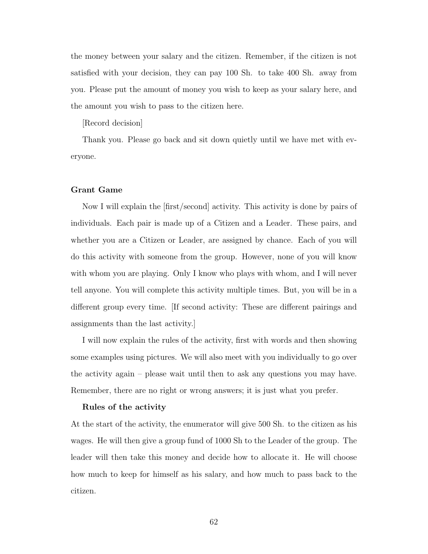the money between your salary and the citizen. Remember, if the citizen is not satisfied with your decision, they can pay 100 Sh. to take 400 Sh. away from you. Please put the amount of money you wish to keep as your salary here, and the amount you wish to pass to the citizen here.

[Record decision]

Thank you. Please go back and sit down quietly until we have met with everyone.

### Grant Game

Now I will explain the [first/second] activity. This activity is done by pairs of individuals. Each pair is made up of a Citizen and a Leader. These pairs, and whether you are a Citizen or Leader, are assigned by chance. Each of you will do this activity with someone from the group. However, none of you will know with whom you are playing. Only I know who plays with whom, and I will never tell anyone. You will complete this activity multiple times. But, you will be in a different group every time. [If second activity: These are different pairings and assignments than the last activity.]

I will now explain the rules of the activity, first with words and then showing some examples using pictures. We will also meet with you individually to go over the activity again – please wait until then to ask any questions you may have. Remember, there are no right or wrong answers; it is just what you prefer.

### Rules of the activity

At the start of the activity, the enumerator will give 500 Sh. to the citizen as his wages. He will then give a group fund of 1000 Sh to the Leader of the group. The leader will then take this money and decide how to allocate it. He will choose how much to keep for himself as his salary, and how much to pass back to the citizen.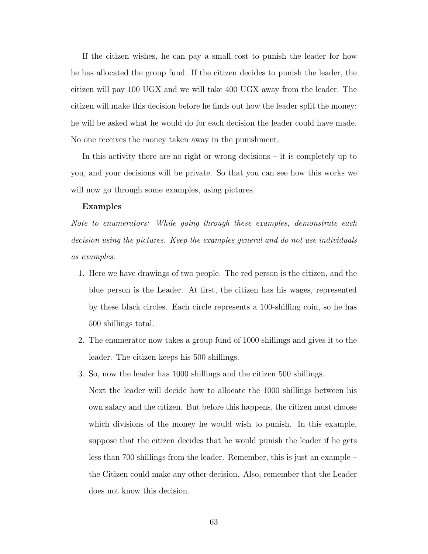If the citizen wishes, he can pay a small cost to punish the leader for how he has allocated the group fund. If the citizen decides to punish the leader, the citizen will pay 100 UGX and we will take 400 UGX away from the leader. The citizen will make this decision before he finds out how the leader split the money: he will be asked what he would do for each decision the leader could have made. No one receives the money taken away in the punishment.

In this activity there are no right or wrong decisions – it is completely up to you, and your decisions will be private. So that you can see how this works we will now go through some examples, using pictures.

### Examples

Note to enumerators: While going through these examples, demonstrate each decision using the pictures. Keep the examples general and do not use individuals as examples.

- 1. Here we have drawings of two people. The red person is the citizen, and the blue person is the Leader. At first, the citizen has his wages, represented by these black circles. Each circle represents a 100-shilling coin, so he has 500 shillings total.
- 2. The enumerator now takes a group fund of 1000 shillings and gives it to the leader. The citizen keeps his 500 shillings.
- 3. So, now the leader has 1000 shillings and the citizen 500 shillings.

Next the leader will decide how to allocate the 1000 shillings between his own salary and the citizen. But before this happens, the citizen must choose which divisions of the money he would wish to punish. In this example, suppose that the citizen decides that he would punish the leader if he gets less than 700 shillings from the leader. Remember, this is just an example – the Citizen could make any other decision. Also, remember that the Leader does not know this decision.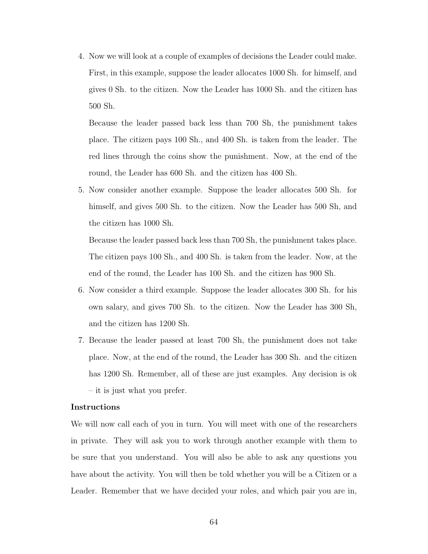4. Now we will look at a couple of examples of decisions the Leader could make. First, in this example, suppose the leader allocates 1000 Sh. for himself, and gives 0 Sh. to the citizen. Now the Leader has 1000 Sh. and the citizen has 500 Sh.

Because the leader passed back less than 700 Sh, the punishment takes place. The citizen pays 100 Sh., and 400 Sh. is taken from the leader. The red lines through the coins show the punishment. Now, at the end of the round, the Leader has 600 Sh. and the citizen has 400 Sh.

5. Now consider another example. Suppose the leader allocates 500 Sh. for himself, and gives 500 Sh. to the citizen. Now the Leader has 500 Sh, and the citizen has 1000 Sh.

Because the leader passed back less than 700 Sh, the punishment takes place. The citizen pays 100 Sh., and 400 Sh. is taken from the leader. Now, at the end of the round, the Leader has 100 Sh. and the citizen has 900 Sh.

- 6. Now consider a third example. Suppose the leader allocates 300 Sh. for his own salary, and gives 700 Sh. to the citizen. Now the Leader has 300 Sh, and the citizen has 1200 Sh.
- 7. Because the leader passed at least 700 Sh, the punishment does not take place. Now, at the end of the round, the Leader has 300 Sh. and the citizen has 1200 Sh. Remember, all of these are just examples. Any decision is ok – it is just what you prefer.

### Instructions

We will now call each of you in turn. You will meet with one of the researchers in private. They will ask you to work through another example with them to be sure that you understand. You will also be able to ask any questions you have about the activity. You will then be told whether you will be a Citizen or a Leader. Remember that we have decided your roles, and which pair you are in,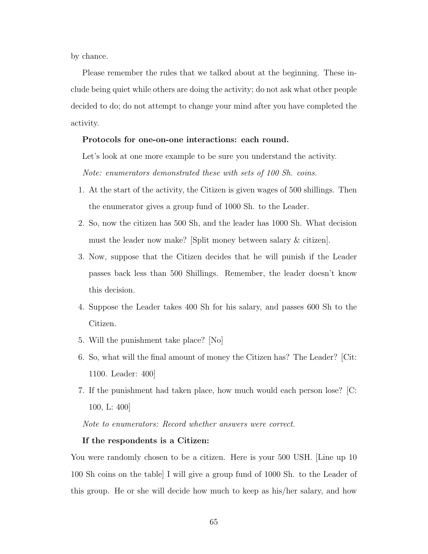by chance.

Please remember the rules that we talked about at the beginning. These include being quiet while others are doing the activity; do not ask what other people decided to do; do not attempt to change your mind after you have completed the activity.

### Protocols for one-on-one interactions: each round.

Let's look at one more example to be sure you understand the activity.

Note: enumerators demonstrated these with sets of 100 Sh. coins.

- 1. At the start of the activity, the Citizen is given wages of 500 shillings. Then the enumerator gives a group fund of 1000 Sh. to the Leader.
- 2. So, now the citizen has 500 Sh, and the leader has 1000 Sh. What decision must the leader now make? [Split money between salary & citizen].
- 3. Now, suppose that the Citizen decides that he will punish if the Leader passes back less than 500 Shillings. Remember, the leader doesn't know this decision.
- 4. Suppose the Leader takes 400 Sh for his salary, and passes 600 Sh to the Citizen.
- 5. Will the punishment take place? [No]
- 6. So, what will the final amount of money the Citizen has? The Leader? [Cit: 1100. Leader: 400]
- 7. If the punishment had taken place, how much would each person lose? [C: 100, L: 400]

Note to enumerators: Record whether answers were correct.

#### If the respondents is a Citizen:

You were randomly chosen to be a citizen. Here is your 500 USH. [Line up 10 100 Sh coins on the table] I will give a group fund of 1000 Sh. to the Leader of this group. He or she will decide how much to keep as his/her salary, and how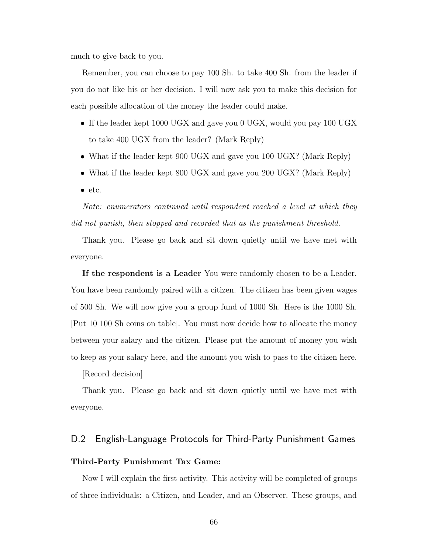much to give back to you.

Remember, you can choose to pay 100 Sh. to take 400 Sh. from the leader if you do not like his or her decision. I will now ask you to make this decision for each possible allocation of the money the leader could make.

- If the leader kept 1000 UGX and gave you 0 UGX, would you pay 100 UGX to take 400 UGX from the leader? (Mark Reply)
- What if the leader kept 900 UGX and gave you 100 UGX? (Mark Reply)
- What if the leader kept 800 UGX and gave you 200 UGX? (Mark Reply)
- etc.

Note: enumerators continued until respondent reached a level at which they did not punish, then stopped and recorded that as the punishment threshold.

Thank you. Please go back and sit down quietly until we have met with everyone.

If the respondent is a Leader You were randomly chosen to be a Leader. You have been randomly paired with a citizen. The citizen has been given wages of 500 Sh. We will now give you a group fund of 1000 Sh. Here is the 1000 Sh. [Put 10 100 Sh coins on table]. You must now decide how to allocate the money between your salary and the citizen. Please put the amount of money you wish to keep as your salary here, and the amount you wish to pass to the citizen here.

[Record decision]

Thank you. Please go back and sit down quietly until we have met with everyone.

# D.2 English-Language Protocols for Third-Party Punishment Games

## Third-Party Punishment Tax Game:

Now I will explain the first activity. This activity will be completed of groups of three individuals: a Citizen, and Leader, and an Observer. These groups, and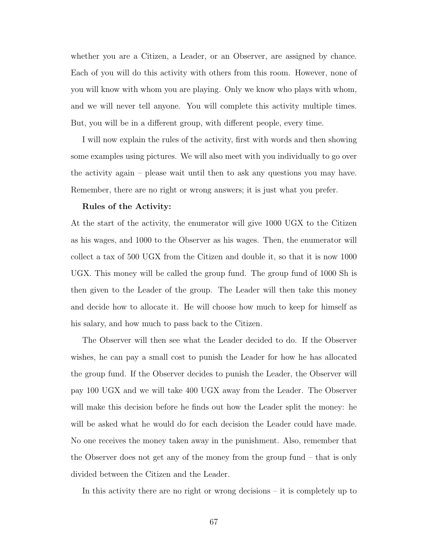whether you are a Citizen, a Leader, or an Observer, are assigned by chance. Each of you will do this activity with others from this room. However, none of you will know with whom you are playing. Only we know who plays with whom, and we will never tell anyone. You will complete this activity multiple times. But, you will be in a different group, with different people, every time.

I will now explain the rules of the activity, first with words and then showing some examples using pictures. We will also meet with you individually to go over the activity again – please wait until then to ask any questions you may have. Remember, there are no right or wrong answers; it is just what you prefer.

#### Rules of the Activity:

At the start of the activity, the enumerator will give 1000 UGX to the Citizen as his wages, and 1000 to the Observer as his wages. Then, the enumerator will collect a tax of 500 UGX from the Citizen and double it, so that it is now 1000 UGX. This money will be called the group fund. The group fund of 1000 Sh is then given to the Leader of the group. The Leader will then take this money and decide how to allocate it. He will choose how much to keep for himself as his salary, and how much to pass back to the Citizen.

The Observer will then see what the Leader decided to do. If the Observer wishes, he can pay a small cost to punish the Leader for how he has allocated the group fund. If the Observer decides to punish the Leader, the Observer will pay 100 UGX and we will take 400 UGX away from the Leader. The Observer will make this decision before he finds out how the Leader split the money: he will be asked what he would do for each decision the Leader could have made. No one receives the money taken away in the punishment. Also, remember that the Observer does not get any of the money from the group fund – that is only divided between the Citizen and the Leader.

In this activity there are no right or wrong decisions – it is completely up to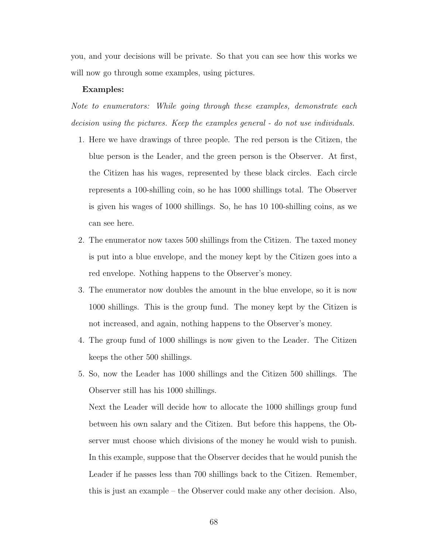you, and your decisions will be private. So that you can see how this works we will now go through some examples, using pictures.

#### Examples:

Note to enumerators: While going through these examples, demonstrate each decision using the pictures. Keep the examples general - do not use individuals.

- 1. Here we have drawings of three people. The red person is the Citizen, the blue person is the Leader, and the green person is the Observer. At first, the Citizen has his wages, represented by these black circles. Each circle represents a 100-shilling coin, so he has 1000 shillings total. The Observer is given his wages of 1000 shillings. So, he has 10 100-shilling coins, as we can see here.
- 2. The enumerator now taxes 500 shillings from the Citizen. The taxed money is put into a blue envelope, and the money kept by the Citizen goes into a red envelope. Nothing happens to the Observer's money.
- 3. The enumerator now doubles the amount in the blue envelope, so it is now 1000 shillings. This is the group fund. The money kept by the Citizen is not increased, and again, nothing happens to the Observer's money.
- 4. The group fund of 1000 shillings is now given to the Leader. The Citizen keeps the other 500 shillings.
- 5. So, now the Leader has 1000 shillings and the Citizen 500 shillings. The Observer still has his 1000 shillings.

Next the Leader will decide how to allocate the 1000 shillings group fund between his own salary and the Citizen. But before this happens, the Observer must choose which divisions of the money he would wish to punish. In this example, suppose that the Observer decides that he would punish the Leader if he passes less than 700 shillings back to the Citizen. Remember, this is just an example – the Observer could make any other decision. Also,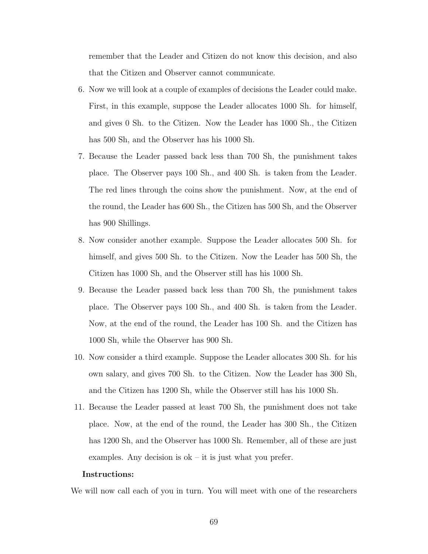remember that the Leader and Citizen do not know this decision, and also that the Citizen and Observer cannot communicate.

- 6. Now we will look at a couple of examples of decisions the Leader could make. First, in this example, suppose the Leader allocates 1000 Sh. for himself, and gives 0 Sh. to the Citizen. Now the Leader has 1000 Sh., the Citizen has 500 Sh, and the Observer has his 1000 Sh.
- 7. Because the Leader passed back less than 700 Sh, the punishment takes place. The Observer pays 100 Sh., and 400 Sh. is taken from the Leader. The red lines through the coins show the punishment. Now, at the end of the round, the Leader has 600 Sh., the Citizen has 500 Sh, and the Observer has 900 Shillings.
- 8. Now consider another example. Suppose the Leader allocates 500 Sh. for himself, and gives 500 Sh. to the Citizen. Now the Leader has 500 Sh, the Citizen has 1000 Sh, and the Observer still has his 1000 Sh.
- 9. Because the Leader passed back less than 700 Sh, the punishment takes place. The Observer pays 100 Sh., and 400 Sh. is taken from the Leader. Now, at the end of the round, the Leader has 100 Sh. and the Citizen has 1000 Sh, while the Observer has 900 Sh.
- 10. Now consider a third example. Suppose the Leader allocates 300 Sh. for his own salary, and gives 700 Sh. to the Citizen. Now the Leader has 300 Sh, and the Citizen has 1200 Sh, while the Observer still has his 1000 Sh.
- 11. Because the Leader passed at least 700 Sh, the punishment does not take place. Now, at the end of the round, the Leader has 300 Sh., the Citizen has 1200 Sh, and the Observer has 1000 Sh. Remember, all of these are just examples. Any decision is  $ok - it$  is just what you prefer.

#### Instructions:

We will now call each of you in turn. You will meet with one of the researchers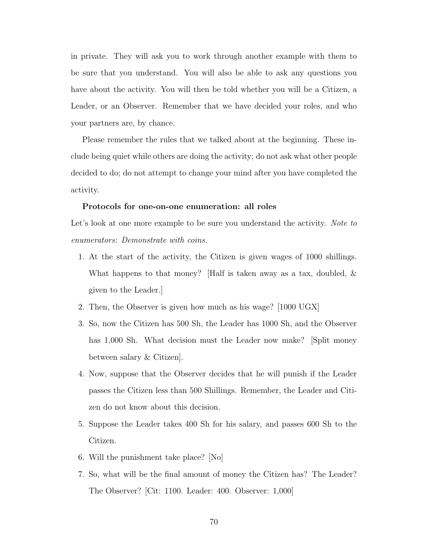in private. They will ask you to work through another example with them to be sure that you understand. You will also be able to ask any questions you have about the activity. You will then be told whether you will be a Citizen, a Leader, or an Observer. Remember that we have decided your roles, and who your partners are, by chance.

Please remember the rules that we talked about at the beginning. These include being quiet while others are doing the activity; do not ask what other people decided to do; do not attempt to change your mind after you have completed the activity.

### Protocols for one-on-one enumeration: all roles

Let's look at one more example to be sure you understand the activity. Note to enumerators: Demonstrate with coins.

- 1. At the start of the activity, the Citizen is given wages of 1000 shillings. What happens to that money? [Half is taken away as a tax, doubled, & given to the Leader.]
- 2. Then, the Observer is given how much as his wage? [1000 UGX]
- 3. So, now the Citizen has 500 Sh, the Leader has 1000 Sh, and the Observer has 1,000 Sh. What decision must the Leader now make? [Split money between salary & Citizen].
- 4. Now, suppose that the Observer decides that he will punish if the Leader passes the Citizen less than 500 Shillings. Remember, the Leader and Citizen do not know about this decision.
- 5. Suppose the Leader takes 400 Sh for his salary, and passes 600 Sh to the Citizen.
- 6. Will the punishment take place? [No]
- 7. So, what will be the final amount of money the Citizen has? The Leader? The Observer? [Cit: 1100. Leader: 400. Observer: 1,000]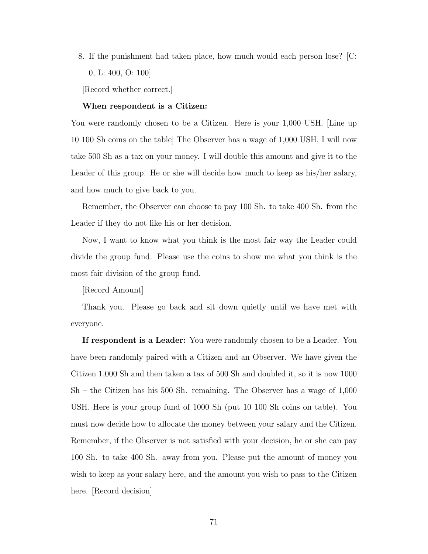8. If the punishment had taken place, how much would each person lose? [C: 0, L: 400, O: 100]

[Record whether correct.]

#### When respondent is a Citizen:

You were randomly chosen to be a Citizen. Here is your 1,000 USH. [Line up 10 100 Sh coins on the table] The Observer has a wage of 1,000 USH. I will now take 500 Sh as a tax on your money. I will double this amount and give it to the Leader of this group. He or she will decide how much to keep as his/her salary, and how much to give back to you.

Remember, the Observer can choose to pay 100 Sh. to take 400 Sh. from the Leader if they do not like his or her decision.

Now, I want to know what you think is the most fair way the Leader could divide the group fund. Please use the coins to show me what you think is the most fair division of the group fund.

[Record Amount]

Thank you. Please go back and sit down quietly until we have met with everyone.

If respondent is a Leader: You were randomly chosen to be a Leader. You have been randomly paired with a Citizen and an Observer. We have given the Citizen 1,000 Sh and then taken a tax of 500 Sh and doubled it, so it is now 1000 Sh – the Citizen has his 500 Sh. remaining. The Observer has a wage of 1,000 USH. Here is your group fund of 1000 Sh (put 10 100 Sh coins on table). You must now decide how to allocate the money between your salary and the Citizen. Remember, if the Observer is not satisfied with your decision, he or she can pay 100 Sh. to take 400 Sh. away from you. Please put the amount of money you wish to keep as your salary here, and the amount you wish to pass to the Citizen here. [Record decision]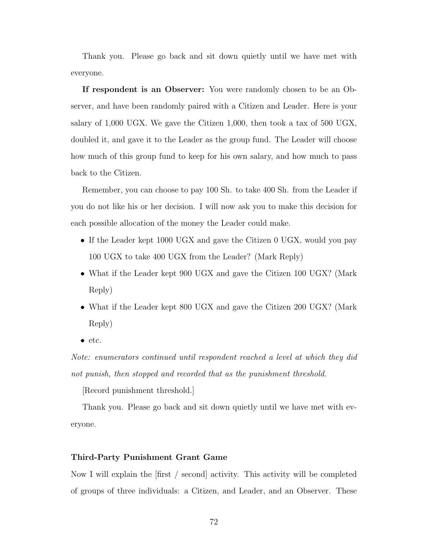Thank you. Please go back and sit down quietly until we have met with everyone.

If respondent is an Observer: You were randomly chosen to be an Observer, and have been randomly paired with a Citizen and Leader. Here is your salary of 1,000 UGX. We gave the Citizen 1,000, then took a tax of 500 UGX, doubled it, and gave it to the Leader as the group fund. The Leader will choose how much of this group fund to keep for his own salary, and how much to pass back to the Citizen.

Remember, you can choose to pay 100 Sh. to take 400 Sh. from the Leader if you do not like his or her decision. I will now ask you to make this decision for each possible allocation of the money the Leader could make.

- If the Leader kept 1000 UGX and gave the Citizen 0 UGX, would you pay 100 UGX to take 400 UGX from the Leader? (Mark Reply)
- What if the Leader kept 900 UGX and gave the Citizen 100 UGX? (Mark) Reply)
- What if the Leader kept 800 UGX and gave the Citizen 200 UGX? (Mark) Reply)
- etc.

Note: enumerators continued until respondent reached a level at which they did not punish, then stopped and recorded that as the punishment threshold.

[Record punishment threshold.]

Thank you. Please go back and sit down quietly until we have met with everyone.

### Third-Party Punishment Grant Game

Now I will explain the [first / second] activity. This activity will be completed of groups of three individuals: a Citizen, and Leader, and an Observer. These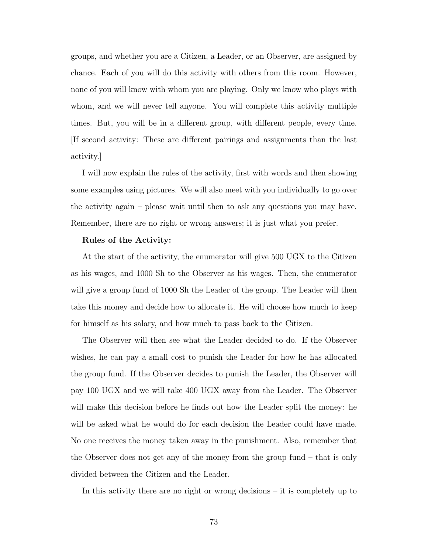groups, and whether you are a Citizen, a Leader, or an Observer, are assigned by chance. Each of you will do this activity with others from this room. However, none of you will know with whom you are playing. Only we know who plays with whom, and we will never tell anyone. You will complete this activity multiple times. But, you will be in a different group, with different people, every time. [If second activity: These are different pairings and assignments than the last activity.]

I will now explain the rules of the activity, first with words and then showing some examples using pictures. We will also meet with you individually to go over the activity again – please wait until then to ask any questions you may have. Remember, there are no right or wrong answers; it is just what you prefer.

## Rules of the Activity:

At the start of the activity, the enumerator will give 500 UGX to the Citizen as his wages, and 1000 Sh to the Observer as his wages. Then, the enumerator will give a group fund of 1000 Sh the Leader of the group. The Leader will then take this money and decide how to allocate it. He will choose how much to keep for himself as his salary, and how much to pass back to the Citizen.

The Observer will then see what the Leader decided to do. If the Observer wishes, he can pay a small cost to punish the Leader for how he has allocated the group fund. If the Observer decides to punish the Leader, the Observer will pay 100 UGX and we will take 400 UGX away from the Leader. The Observer will make this decision before he finds out how the Leader split the money: he will be asked what he would do for each decision the Leader could have made. No one receives the money taken away in the punishment. Also, remember that the Observer does not get any of the money from the group fund – that is only divided between the Citizen and the Leader.

In this activity there are no right or wrong decisions – it is completely up to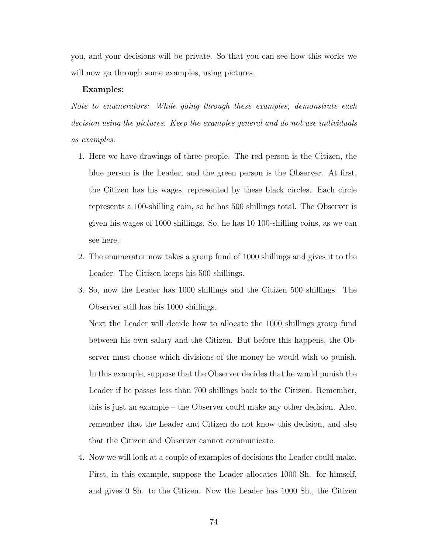you, and your decisions will be private. So that you can see how this works we will now go through some examples, using pictures.

#### Examples:

Note to enumerators: While going through these examples, demonstrate each decision using the pictures. Keep the examples general and do not use individuals as examples.

- 1. Here we have drawings of three people. The red person is the Citizen, the blue person is the Leader, and the green person is the Observer. At first, the Citizen has his wages, represented by these black circles. Each circle represents a 100-shilling coin, so he has 500 shillings total. The Observer is given his wages of 1000 shillings. So, he has 10 100-shilling coins, as we can see here.
- 2. The enumerator now takes a group fund of 1000 shillings and gives it to the Leader. The Citizen keeps his 500 shillings.
- 3. So, now the Leader has 1000 shillings and the Citizen 500 shillings. The Observer still has his 1000 shillings.

Next the Leader will decide how to allocate the 1000 shillings group fund between his own salary and the Citizen. But before this happens, the Observer must choose which divisions of the money he would wish to punish. In this example, suppose that the Observer decides that he would punish the Leader if he passes less than 700 shillings back to the Citizen. Remember, this is just an example – the Observer could make any other decision. Also, remember that the Leader and Citizen do not know this decision, and also that the Citizen and Observer cannot communicate.

4. Now we will look at a couple of examples of decisions the Leader could make. First, in this example, suppose the Leader allocates 1000 Sh. for himself, and gives 0 Sh. to the Citizen. Now the Leader has 1000 Sh., the Citizen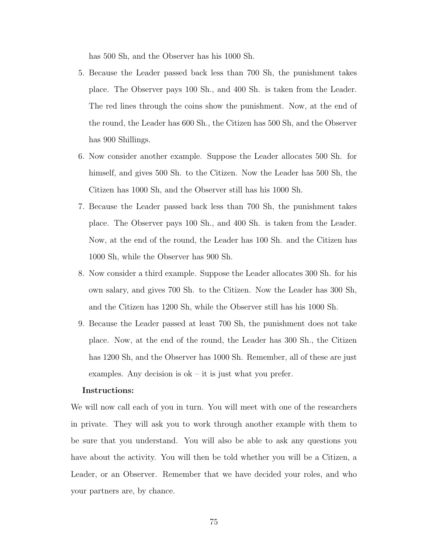has 500 Sh, and the Observer has his 1000 Sh.

- 5. Because the Leader passed back less than 700 Sh, the punishment takes place. The Observer pays 100 Sh., and 400 Sh. is taken from the Leader. The red lines through the coins show the punishment. Now, at the end of the round, the Leader has 600 Sh., the Citizen has 500 Sh, and the Observer has 900 Shillings.
- 6. Now consider another example. Suppose the Leader allocates 500 Sh. for himself, and gives 500 Sh. to the Citizen. Now the Leader has 500 Sh, the Citizen has 1000 Sh, and the Observer still has his 1000 Sh.
- 7. Because the Leader passed back less than 700 Sh, the punishment takes place. The Observer pays 100 Sh., and 400 Sh. is taken from the Leader. Now, at the end of the round, the Leader has 100 Sh. and the Citizen has 1000 Sh, while the Observer has 900 Sh.
- 8. Now consider a third example. Suppose the Leader allocates 300 Sh. for his own salary, and gives 700 Sh. to the Citizen. Now the Leader has 300 Sh, and the Citizen has 1200 Sh, while the Observer still has his 1000 Sh.
- 9. Because the Leader passed at least 700 Sh, the punishment does not take place. Now, at the end of the round, the Leader has 300 Sh., the Citizen has 1200 Sh, and the Observer has 1000 Sh. Remember, all of these are just examples. Any decision is  $ok - it$  is just what you prefer.

## Instructions:

We will now call each of you in turn. You will meet with one of the researchers in private. They will ask you to work through another example with them to be sure that you understand. You will also be able to ask any questions you have about the activity. You will then be told whether you will be a Citizen, a Leader, or an Observer. Remember that we have decided your roles, and who your partners are, by chance.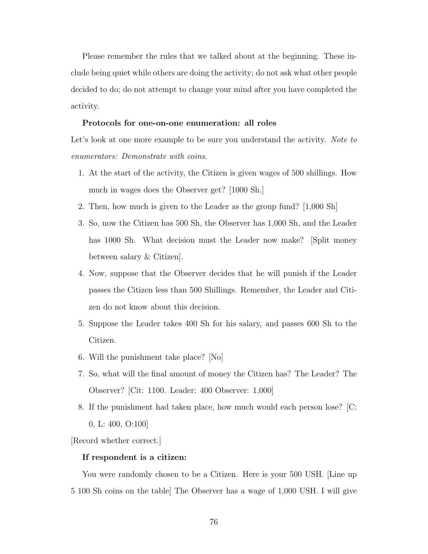Please remember the rules that we talked about at the beginning. These include being quiet while others are doing the activity; do not ask what other people decided to do; do not attempt to change your mind after you have completed the activity.

## Protocols for one-on-one enumeration: all roles

Let's look at one more example to be sure you understand the activity. Note to enumerators: Demonstrate with coins.

- 1. At the start of the activity, the Citizen is given wages of 500 shillings. How much in wages does the Observer get? [1000 Sh.]
- 2. Then, how much is given to the Leader as the group fund? [1,000 Sh]
- 3. So, now the Citizen has 500 Sh, the Observer has 1,000 Sh, and the Leader has 1000 Sh. What decision must the Leader now make? [Split money between salary & Citizen].
- 4. Now, suppose that the Observer decides that he will punish if the Leader passes the Citizen less than 500 Shillings. Remember, the Leader and Citizen do not know about this decision.
- 5. Suppose the Leader takes 400 Sh for his salary, and passes 600 Sh to the Citizen.
- 6. Will the punishment take place? [No]
- 7. So, what will the final amount of money the Citizen has? The Leader? The Observer? [Cit: 1100. Leader: 400 Observer: 1,000]
- 8. If the punishment had taken place, how much would each person lose? [C: 0, L: 400, O:100]

[Record whether correct.]

## If respondent is a citizen:

You were randomly chosen to be a Citizen. Here is your 500 USH. [Line up 5 100 Sh coins on the table] The Observer has a wage of 1,000 USH. I will give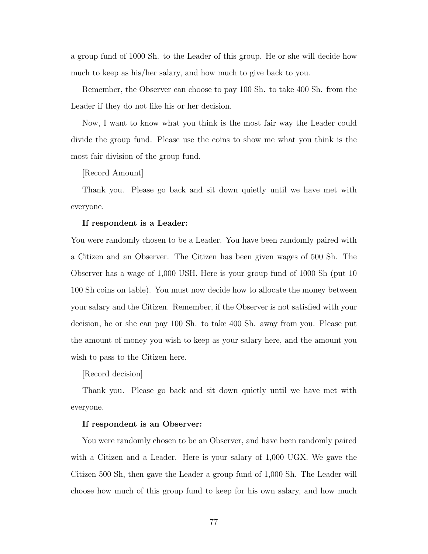a group fund of 1000 Sh. to the Leader of this group. He or she will decide how much to keep as his/her salary, and how much to give back to you.

Remember, the Observer can choose to pay 100 Sh. to take 400 Sh. from the Leader if they do not like his or her decision.

Now, I want to know what you think is the most fair way the Leader could divide the group fund. Please use the coins to show me what you think is the most fair division of the group fund.

[Record Amount]

Thank you. Please go back and sit down quietly until we have met with everyone.

## If respondent is a Leader:

You were randomly chosen to be a Leader. You have been randomly paired with a Citizen and an Observer. The Citizen has been given wages of 500 Sh. The Observer has a wage of 1,000 USH. Here is your group fund of 1000 Sh (put 10 100 Sh coins on table). You must now decide how to allocate the money between your salary and the Citizen. Remember, if the Observer is not satisfied with your decision, he or she can pay 100 Sh. to take 400 Sh. away from you. Please put the amount of money you wish to keep as your salary here, and the amount you wish to pass to the Citizen here.

[Record decision]

Thank you. Please go back and sit down quietly until we have met with everyone.

## If respondent is an Observer:

You were randomly chosen to be an Observer, and have been randomly paired with a Citizen and a Leader. Here is your salary of 1,000 UGX. We gave the Citizen 500 Sh, then gave the Leader a group fund of 1,000 Sh. The Leader will choose how much of this group fund to keep for his own salary, and how much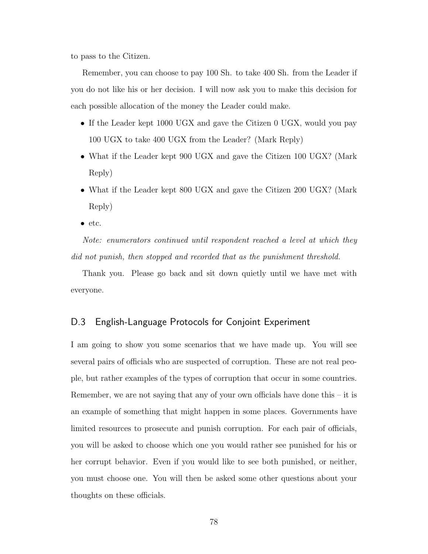to pass to the Citizen.

Remember, you can choose to pay 100 Sh. to take 400 Sh. from the Leader if you do not like his or her decision. I will now ask you to make this decision for each possible allocation of the money the Leader could make.

- If the Leader kept 1000 UGX and gave the Citizen 0 UGX, would you pay 100 UGX to take 400 UGX from the Leader? (Mark Reply)
- What if the Leader kept 900 UGX and gave the Citizen 100 UGX? (Mark) Reply)
- What if the Leader kept 800 UGX and gave the Citizen 200 UGX? (Mark) Reply)
- etc.

Note: enumerators continued until respondent reached a level at which they did not punish, then stopped and recorded that as the punishment threshold.

Thank you. Please go back and sit down quietly until we have met with everyone.

# D.3 English-Language Protocols for Conjoint Experiment

I am going to show you some scenarios that we have made up. You will see several pairs of officials who are suspected of corruption. These are not real people, but rather examples of the types of corruption that occur in some countries. Remember, we are not saying that any of your own officials have done this – it is an example of something that might happen in some places. Governments have limited resources to prosecute and punish corruption. For each pair of officials, you will be asked to choose which one you would rather see punished for his or her corrupt behavior. Even if you would like to see both punished, or neither, you must choose one. You will then be asked some other questions about your thoughts on these officials.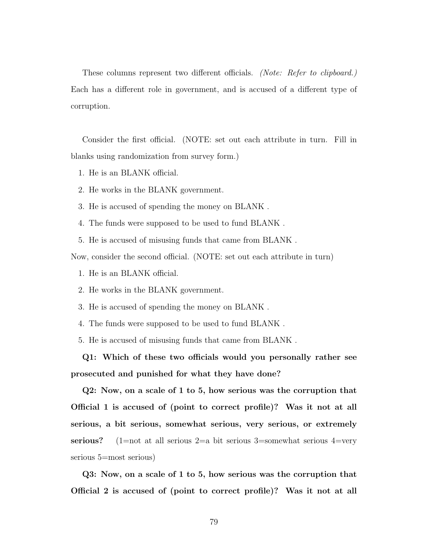These columns represent two different officials. (Note: Refer to clipboard.) Each has a different role in government, and is accused of a different type of corruption.

Consider the first official. (NOTE: set out each attribute in turn. Fill in blanks using randomization from survey form.)

- 1. He is an BLANK official.
- 2. He works in the BLANK government.
- 3. He is accused of spending the money on BLANK .
- 4. The funds were supposed to be used to fund BLANK .
- 5. He is accused of misusing funds that came from BLANK .

Now, consider the second official. (NOTE: set out each attribute in turn)

- 1. He is an BLANK official.
- 2. He works in the BLANK government.
- 3. He is accused of spending the money on BLANK .
- 4. The funds were supposed to be used to fund BLANK .
- 5. He is accused of misusing funds that came from BLANK .

Q1: Which of these two officials would you personally rather see prosecuted and punished for what they have done?

Q2: Now, on a scale of 1 to 5, how serious was the corruption that Official 1 is accused of (point to correct profile)? Was it not at all serious, a bit serious, somewhat serious, very serious, or extremely serious? (1=not at all serious 2=a bit serious 3=somewhat serious 4=very serious 5=most serious)

Q3: Now, on a scale of 1 to 5, how serious was the corruption that Official 2 is accused of (point to correct profile)? Was it not at all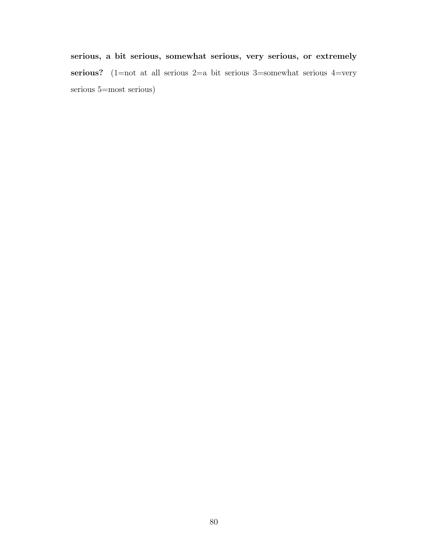serious, a bit serious, somewhat serious, very serious, or extremely serious? (1=not at all serious 2=a bit serious 3=somewhat serious 4=very serious 5=most serious)